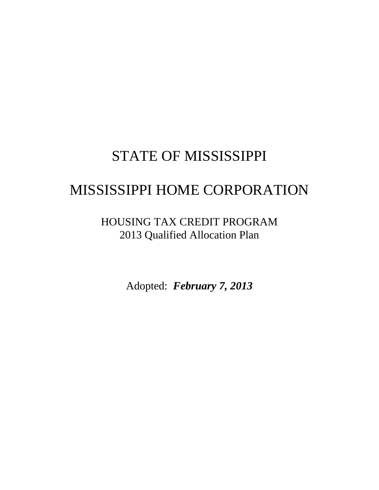# STATE OF MISSISSIPPI

# MISSISSIPPI HOME CORPORATION

HOUSING TAX CREDIT PROGRAM 2013 Qualified Allocation Plan

Adopted: *February 7, 2013*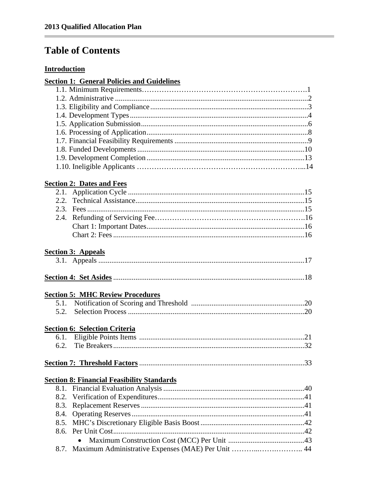# **Table of Contents**

#### **Introduction**

#### **Section 1: General Policies and Guidelines**

#### **Section 2: Dates and Fees**

### **Section 3: Appeals**

| $\bullet$ |                                                                                                                                      |
|-----------|--------------------------------------------------------------------------------------------------------------------------------------|
|           | <b>Section 5: MHC Review Procedures</b><br><b>Section 6: Selection Criteria</b><br><b>Section 8: Financial Feasibility Standards</b> |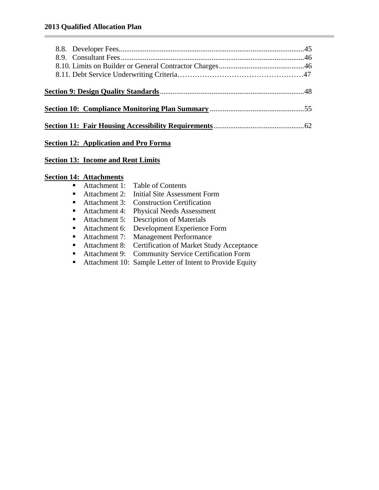#### **Section 12: Application and Pro Forma**

#### **Section 13: Income and Rent Limits**

#### **Section 14: Attachments**

- Attachment 1: Table of Contents
- Attachment 2: Initial Site Assessment Form
- Attachment 3: Construction Certification
- Attachment 4: Physical Needs Assessment
- Attachment 5: Description of Materials
- Attachment 6: Development Experience Form
- Attachment 7: Management Performance
- Attachment 8: Certification of Market Study Acceptance
- **Attachment 9:** Community Service Certification Form
- Attachment 10: Sample Letter of Intent to Provide Equity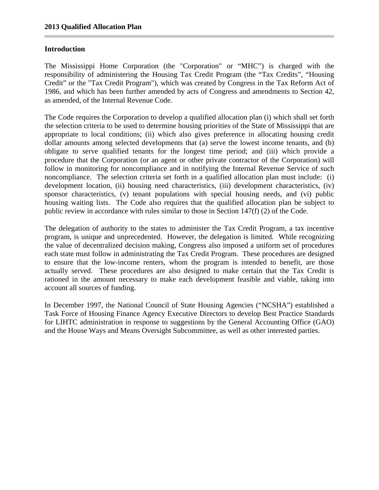#### **Introduction**

The Mississippi Home Corporation (the "Corporation" or "MHC") is charged with the responsibility of administering the Housing Tax Credit Program (the "Tax Credits", "Housing Credit" or the "Tax Credit Program"), which was created by Congress in the Tax Reform Act of 1986, and which has been further amended by acts of Congress and amendments to Section 42, as amended, of the Internal Revenue Code.

The Code requires the Corporation to develop a qualified allocation plan (i) which shall set forth the selection criteria to be used to determine housing priorities of the State of Mississippi that are appropriate to local conditions; (ii) which also gives preference in allocating housing credit dollar amounts among selected developments that (a) serve the lowest income tenants, and (b) obligate to serve qualified tenants for the longest time period; and (iii) which provide a procedure that the Corporation (or an agent or other private contractor of the Corporation) will follow in monitoring for noncompliance and in notifying the Internal Revenue Service of such noncompliance. The selection criteria set forth in a qualified allocation plan must include: (i) development location, (ii) housing need characteristics, (iii) development characteristics, (iv) sponsor characteristics, (v) tenant populations with special housing needs, and (vi) public housing waiting lists. The Code also requires that the qualified allocation plan be subject to public review in accordance with rules similar to those in Section 147(f) (2) of the Code.

The delegation of authority to the states to administer the Tax Credit Program, a tax incentive program, is unique and unprecedented. However, the delegation is limited. While recognizing the value of decentralized decision making, Congress also imposed a uniform set of procedures each state must follow in administrating the Tax Credit Program. These procedures are designed to ensure that the low-income renters, whom the program is intended to benefit, are those actually served. These procedures are also designed to make certain that the Tax Credit is rationed in the amount necessary to make each development feasible and viable, taking into account all sources of funding.

In December 1997, the National Council of State Housing Agencies ("NCSHA") established a Task Force of Housing Finance Agency Executive Directors to develop Best Practice Standards for LIHTC administration in response to suggestions by the General Accounting Office (GAO) and the House Ways and Means Oversight Subcommittee, as well as other interested parties.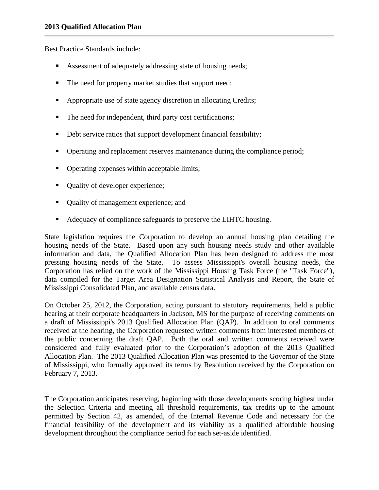Best Practice Standards include:

- Assessment of adequately addressing state of housing needs;
- The need for property market studies that support need;
- Appropriate use of state agency discretion in allocating Credits;
- The need for independent, third party cost certifications;
- Debt service ratios that support development financial feasibility;
- Operating and replacement reserves maintenance during the compliance period;
- Operating expenses within acceptable limits;
- Quality of developer experience;
- Quality of management experience; and
- Adequacy of compliance safeguards to preserve the LIHTC housing.

State legislation requires the Corporation to develop an annual housing plan detailing the housing needs of the State. Based upon any such housing needs study and other available information and data, the Qualified Allocation Plan has been designed to address the most pressing housing needs of the State. To assess Mississippi's overall housing needs, the Corporation has relied on the work of the Mississippi Housing Task Force (the "Task Force"), data compiled for the Target Area Designation Statistical Analysis and Report, the State of Mississippi Consolidated Plan, and available census data.

On October 25, 2012, the Corporation, acting pursuant to statutory requirements, held a public hearing at their corporate headquarters in Jackson, MS for the purpose of receiving comments on a draft of Mississippi's 2013 Qualified Allocation Plan (QAP). In addition to oral comments received at the hearing, the Corporation requested written comments from interested members of the public concerning the draft QAP. Both the oral and written comments received were considered and fully evaluated prior to the Corporation's adoption of the 2013 Qualified Allocation Plan. The 2013 Qualified Allocation Plan was presented to the Governor of the State of Mississippi, who formally approved its terms by Resolution received by the Corporation on February 7, 2013.

The Corporation anticipates reserving, beginning with those developments scoring highest under the Selection Criteria and meeting all threshold requirements, tax credits up to the amount permitted by Section 42, as amended, of the Internal Revenue Code and necessary for the financial feasibility of the development and its viability as a qualified affordable housing development throughout the compliance period for each set-aside identified.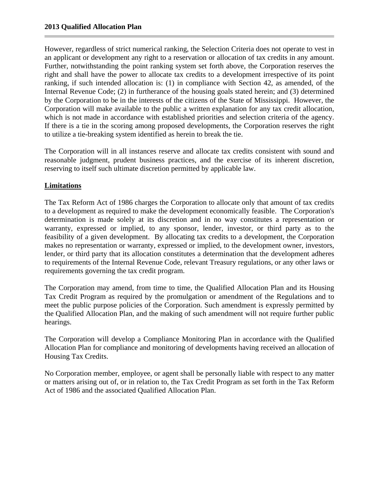However, regardless of strict numerical ranking, the Selection Criteria does not operate to vest in an applicant or development any right to a reservation or allocation of tax credits in any amount. Further, notwithstanding the point ranking system set forth above, the Corporation reserves the right and shall have the power to allocate tax credits to a development irrespective of its point ranking, if such intended allocation is: (1) in compliance with Section 42, as amended, of the Internal Revenue Code; (2) in furtherance of the housing goals stated herein; and (3) determined by the Corporation to be in the interests of the citizens of the State of Mississippi. However, the Corporation will make available to the public a written explanation for any tax credit allocation, which is not made in accordance with established priorities and selection criteria of the agency. If there is a tie in the scoring among proposed developments, the Corporation reserves the right to utilize a tie-breaking system identified as herein to break the tie.

The Corporation will in all instances reserve and allocate tax credits consistent with sound and reasonable judgment, prudent business practices, and the exercise of its inherent discretion, reserving to itself such ultimate discretion permitted by applicable law.

#### **Limitations**

The Tax Reform Act of 1986 charges the Corporation to allocate only that amount of tax credits to a development as required to make the development economically feasible. The Corporation's determination is made solely at its discretion and in no way constitutes a representation or warranty, expressed or implied, to any sponsor, lender, investor, or third party as to the feasibility of a given development. By allocating tax credits to a development, the Corporation makes no representation or warranty, expressed or implied, to the development owner, investors, lender, or third party that its allocation constitutes a determination that the development adheres to requirements of the Internal Revenue Code, relevant Treasury regulations, or any other laws or requirements governing the tax credit program.

The Corporation may amend, from time to time, the Qualified Allocation Plan and its Housing Tax Credit Program as required by the promulgation or amendment of the Regulations and to meet the public purpose policies of the Corporation. Such amendment is expressly permitted by the Qualified Allocation Plan, and the making of such amendment will not require further public hearings.

The Corporation will develop a Compliance Monitoring Plan in accordance with the Qualified Allocation Plan for compliance and monitoring of developments having received an allocation of Housing Tax Credits.

No Corporation member, employee, or agent shall be personally liable with respect to any matter or matters arising out of, or in relation to, the Tax Credit Program as set forth in the Tax Reform Act of 1986 and the associated Qualified Allocation Plan.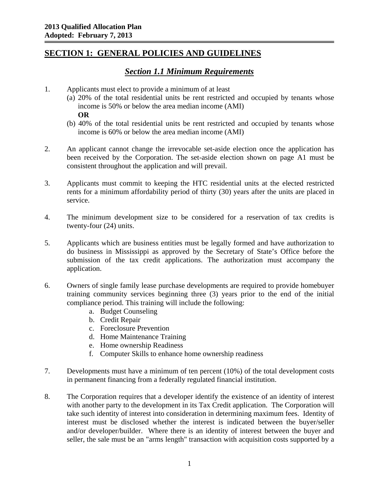# **SECTION 1: GENERAL POLICIES AND GUIDELINES**

### *Section 1.1 Minimum Requirements*

- 1. Applicants must elect to provide a minimum of at least
	- (a) 20% of the total residential units be rent restricted and occupied by tenants whose income is 50% or below the area median income (AMI)  **OR**
	- (b) 40% of the total residential units be rent restricted and occupied by tenants whose income is 60% or below the area median income (AMI)
- 2. An applicant cannot change the irrevocable set-aside election once the application has been received by the Corporation. The set-aside election shown on page A1 must be consistent throughout the application and will prevail.
- 3. Applicants must commit to keeping the HTC residential units at the elected restricted rents for a minimum affordability period of thirty (30) years after the units are placed in service.
- 4. The minimum development size to be considered for a reservation of tax credits is twenty-four (24) units.
- 5. Applicants which are business entities must be legally formed and have authorization to do business in Mississippi as approved by the Secretary of State's Office before the submission of the tax credit applications. The authorization must accompany the application.
- 6. Owners of single family lease purchase developments are required to provide homebuyer training community services beginning three (3) years prior to the end of the initial compliance period. This training will include the following:
	- a. Budget Counseling
	- b. Credit Repair
	- c. Foreclosure Prevention
	- d. Home Maintenance Training
	- e. Home ownership Readiness
	- f. Computer Skills to enhance home ownership readiness
- 7. Developments must have a minimum of ten percent (10%) of the total development costs in permanent financing from a federally regulated financial institution.
- 8. The Corporation requires that a developer identify the existence of an identity of interest with another party to the development in its Tax Credit application. The Corporation will take such identity of interest into consideration in determining maximum fees. Identity of interest must be disclosed whether the interest is indicated between the buyer/seller and/or developer/builder. Where there is an identity of interest between the buyer and seller, the sale must be an "arms length" transaction with acquisition costs supported by a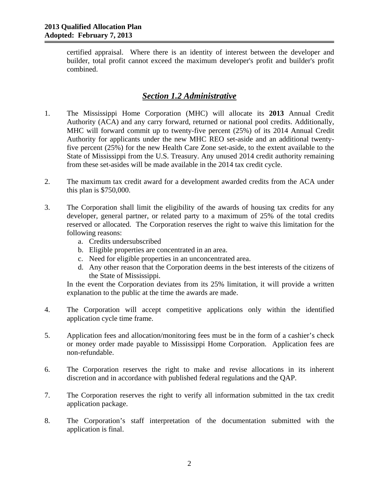certified appraisal. Where there is an identity of interest between the developer and builder, total profit cannot exceed the maximum developer's profit and builder's profit combined.

## *Section 1.2 Administrative*

- 1. The Mississippi Home Corporation (MHC) will allocate its **2013** Annual Credit Authority (ACA) and any carry forward, returned or national pool credits. Additionally, MHC will forward commit up to twenty-five percent (25%) of its 2014 Annual Credit Authority for applicants under the new MHC REO set-aside and an additional twentyfive percent (25%) for the new Health Care Zone set-aside, to the extent available to the State of Mississippi from the U.S. Treasury. Any unused 2014 credit authority remaining from these set-asides will be made available in the 2014 tax credit cycle.
- 2. The maximum tax credit award for a development awarded credits from the ACA under this plan is \$750,000.
- 3. The Corporation shall limit the eligibility of the awards of housing tax credits for any developer, general partner, or related party to a maximum of 25% of the total credits reserved or allocated. The Corporation reserves the right to waive this limitation for the following reasons:
	- a. Credits undersubscribed
	- b. Eligible properties are concentrated in an area.
	- c. Need for eligible properties in an unconcentrated area.
	- d. Any other reason that the Corporation deems in the best interests of the citizens of the State of Mississippi.

In the event the Corporation deviates from its 25% limitation, it will provide a written explanation to the public at the time the awards are made.

- 4. The Corporation will accept competitive applications only within the identified application cycle time frame.
- 5. Application fees and allocation/monitoring fees must be in the form of a cashier's check or money order made payable to Mississippi Home Corporation. Application fees are non-refundable.
- 6. The Corporation reserves the right to make and revise allocations in its inherent discretion and in accordance with published federal regulations and the QAP.
- 7. The Corporation reserves the right to verify all information submitted in the tax credit application package.
- 8. The Corporation's staff interpretation of the documentation submitted with the application is final.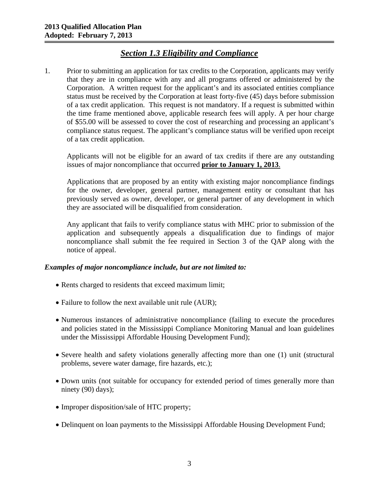# *Section 1.3 Eligibility and Compliance*

1. Prior to submitting an application for tax credits to the Corporation, applicants may verify that they are in compliance with any and all programs offered or administered by the Corporation. A written request for the applicant's and its associated entities compliance status must be received by the Corporation at least forty-five (45) days before submission of a tax credit application. This request is not mandatory. If a request is submitted within the time frame mentioned above, applicable research fees will apply. A per hour charge of \$55.00 will be assessed to cover the cost of researching and processing an applicant's compliance status request. The applicant's compliance status will be verified upon receipt of a tax credit application.

Applicants will not be eligible for an award of tax credits if there are any outstanding issues of major noncompliance that occurred **prior to January 1, 2013**.

Applications that are proposed by an entity with existing major noncompliance findings for the owner, developer, general partner, management entity or consultant that has previously served as owner, developer, or general partner of any development in which they are associated will be disqualified from consideration.

Any applicant that fails to verify compliance status with MHC prior to submission of the application and subsequently appeals a disqualification due to findings of major noncompliance shall submit the fee required in Section 3 of the QAP along with the notice of appeal.

#### *Examples of major noncompliance include, but are not limited to:*

- Rents charged to residents that exceed maximum limit;
- Failure to follow the next available unit rule (AUR);
- Numerous instances of administrative noncompliance (failing to execute the procedures and policies stated in the Mississippi Compliance Monitoring Manual and loan guidelines under the Mississippi Affordable Housing Development Fund);
- Severe health and safety violations generally affecting more than one (1) unit (structural problems, severe water damage, fire hazards, etc.);
- Down units (not suitable for occupancy for extended period of times generally more than ninety (90) days);
- Improper disposition/sale of HTC property;
- Delinquent on loan payments to the Mississippi Affordable Housing Development Fund;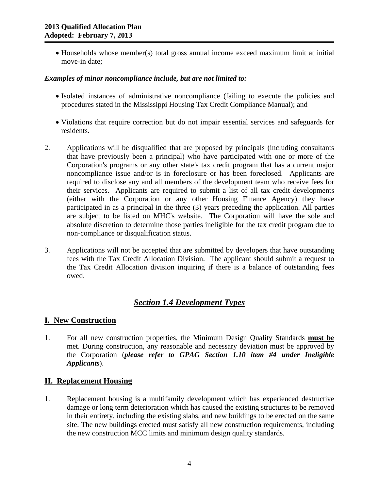Households whose member(s) total gross annual income exceed maximum limit at initial move-in date;

#### *Examples of minor noncompliance include, but are not limited to:*

- Isolated instances of administrative noncompliance (failing to execute the policies and procedures stated in the Mississippi Housing Tax Credit Compliance Manual); and
- Violations that require correction but do not impair essential services and safeguards for residents.
- 2. Applications will be disqualified that are proposed by principals (including consultants that have previously been a principal) who have participated with one or more of the Corporation's programs or any other state's tax credit program that has a current major noncompliance issue and/or is in foreclosure or has been foreclosed. Applicants are required to disclose any and all members of the development team who receive fees for their services. Applicants are required to submit a list of all tax credit developments (either with the Corporation or any other Housing Finance Agency) they have participated in as a principal in the three (3) years preceding the application. All parties are subject to be listed on MHC's website. The Corporation will have the sole and absolute discretion to determine those parties ineligible for the tax credit program due to non-compliance or disqualification status.
- 3. Applications will not be accepted that are submitted by developers that have outstanding fees with the Tax Credit Allocation Division. The applicant should submit a request to the Tax Credit Allocation division inquiring if there is a balance of outstanding fees owed.

# *Section 1.4 Development Types*

#### **I. New Construction**

1. For all new construction properties, the Minimum Design Quality Standards **must be** met. During construction, any reasonable and necessary deviation must be approved by the Corporation (*please refer to GPAG Section 1.10 item #4 under Ineligible Applicants*).

#### **II. Replacement Housing**

1. Replacement housing is a multifamily development which has experienced destructive damage or long term deterioration which has caused the existing structures to be removed in their entirety, including the existing slabs, and new buildings to be erected on the same site. The new buildings erected must satisfy all new construction requirements, including the new construction MCC limits and minimum design quality standards.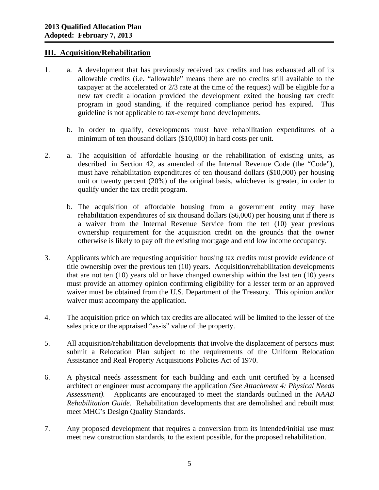#### **III. Acquisition/Rehabilitation**

- 1. a. A development that has previously received tax credits and has exhausted all of its allowable credits (i.e. "allowable" means there are no credits still available to the taxpayer at the accelerated or 2/3 rate at the time of the request) will be eligible for a new tax credit allocation provided the development exited the housing tax credit program in good standing, if the required compliance period has expired. This guideline is not applicable to tax-exempt bond developments.
	- b. In order to qualify, developments must have rehabilitation expenditures of a minimum of ten thousand dollars (\$10,000) in hard costs per unit.
- 2. a. The acquisition of affordable housing or the rehabilitation of existing units, as described in Section 42, as amended of the Internal Revenue Code (the "Code"), must have rehabilitation expenditures of ten thousand dollars (\$10,000) per housing unit or twenty percent (20%) of the original basis, whichever is greater, in order to qualify under the tax credit program.
	- b. The acquisition of affordable housing from a government entity may have rehabilitation expenditures of six thousand dollars (\$6,000) per housing unit if there is a waiver from the Internal Revenue Service from the ten (10) year previous ownership requirement for the acquisition credit on the grounds that the owner otherwise is likely to pay off the existing mortgage and end low income occupancy.
- 3. Applicants which are requesting acquisition housing tax credits must provide evidence of title ownership over the previous ten (10) years. Acquisition/rehabilitation developments that are not ten (10) years old or have changed ownership within the last ten (10) years must provide an attorney opinion confirming eligibility for a lesser term or an approved waiver must be obtained from the U.S. Department of the Treasury. This opinion and/or waiver must accompany the application.
- 4. The acquisition price on which tax credits are allocated will be limited to the lesser of the sales price or the appraised "as-is" value of the property.
- 5. All acquisition/rehabilitation developments that involve the displacement of persons must submit a Relocation Plan subject to the requirements of the Uniform Relocation Assistance and Real Property Acquisitions Policies Act of 1970.
- 6. A physical needs assessment for each building and each unit certified by a licensed architect or engineer must accompany the application *(See Attachment 4: Physical Needs Assessment).* Applicants are encouraged to meet the standards outlined in the *NAAB Rehabilitation Guide*. Rehabilitation developments that are demolished and rebuilt must meet MHC's Design Quality Standards.
- 7. Any proposed development that requires a conversion from its intended/initial use must meet new construction standards, to the extent possible, for the proposed rehabilitation.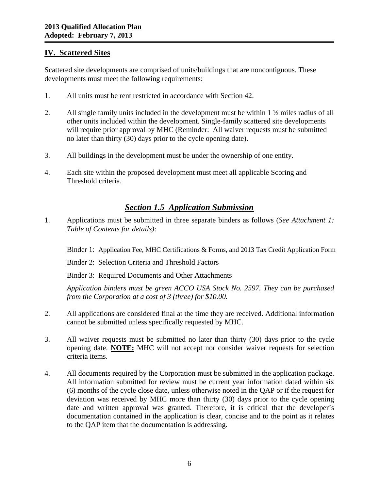#### **IV. Scattered Sites**

 Scattered site developments are comprised of units/buildings that are noncontiguous. These developments must meet the following requirements:

- 1. All units must be rent restricted in accordance with Section 42.
- 2. All single family units included in the development must be within 1 ½ miles radius of all other units included within the development. Single-family scattered site developments will require prior approval by MHC (Reminder: All waiver requests must be submitted no later than thirty (30) days prior to the cycle opening date).
- 3. All buildings in the development must be under the ownership of one entity.
- 4. Each site within the proposed development must meet all applicable Scoring and Threshold criteria.

# *Section 1.5 Application Submission*

1. Applications must be submitted in three separate binders as follows (*See Attachment 1: Table of Contents for details)*:

Binder 1: Application Fee, MHC Certifications & Forms, and 2013 Tax Credit Application Form

Binder 2: Selection Criteria and Threshold Factors

Binder 3: Required Documents and Other Attachments

*Application binders must be green ACCO USA Stock No. 2597. They can be purchased from the Corporation at a cost of 3 (three) for \$10.00.* 

- 2. All applications are considered final at the time they are received. Additional information cannot be submitted unless specifically requested by MHC.
- 3. All waiver requests must be submitted no later than thirty (30) days prior to the cycle opening date. **NOTE:** MHC will not accept nor consider waiver requests for selection criteria items.
- 4.All documents required by the Corporation must be submitted in the application package. All information submitted for review must be current year information dated within six (6) months of the cycle close date, unless otherwise noted in the QAP or if the request for deviation was received by MHC more than thirty (30) days prior to the cycle opening date and written approval was granted. Therefore, it is critical that the developer's documentation contained in the application is clear, concise and to the point as it relates to the QAP item that the documentation is addressing.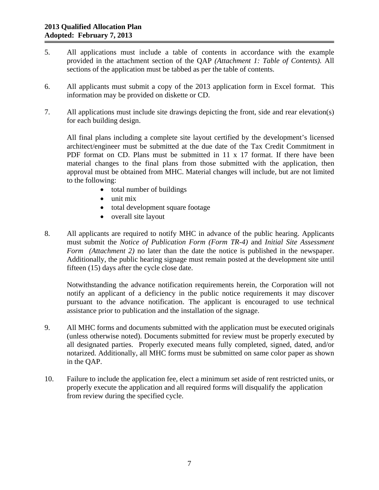- 5. All applications must include a table of contents in accordance with the example provided in the attachment section of the QAP *(Attachment 1: Table of Contents).* All sections of the application must be tabbed as per the table of contents.
- 6. All applicants must submit a copy of the 2013 application form in Excel format. This information may be provided on diskette or CD.
- 7. All applications must include site drawings depicting the front, side and rear elevation(s) for each building design.

All final plans including a complete site layout certified by the development's licensed architect/engineer must be submitted at the due date of the Tax Credit Commitment in PDF format on CD. Plans must be submitted in 11 x 17 format. If there have been material changes to the final plans from those submitted with the application, then approval must be obtained from MHC. Material changes will include, but are not limited to the following:

- total number of buildings
- unit mix
- total development square footage
- overall site layout
- 8. All applicants are required to notify MHC in advance of the public hearing. Applicants must submit the *Notice of Publication Form (Form TR-4)* and *Initial Site Assessment Form (Attachment 2)* no later than the date the notice is published in the newspaper. Additionally, the public hearing signage must remain posted at the development site until fifteen (15) days after the cycle close date.

Notwithstanding the advance notification requirements herein, the Corporation will not notify an applicant of a deficiency in the public notice requirements it may discover pursuant to the advance notification. The applicant is encouraged to use technical assistance prior to publication and the installation of the signage.

- 9. All MHC forms and documents submitted with the application must be executed originals (unless otherwise noted). Documents submitted for review must be properly executed by all designated parties. Properly executed means fully completed, signed, dated, and/or notarized. Additionally, all MHC forms must be submitted on same color paper as shown in the QAP.
- 10. Failure to include the application fee, elect a minimum set aside of rent restricted units, or properly execute the application and all required forms will disqualify the application from review during the specified cycle.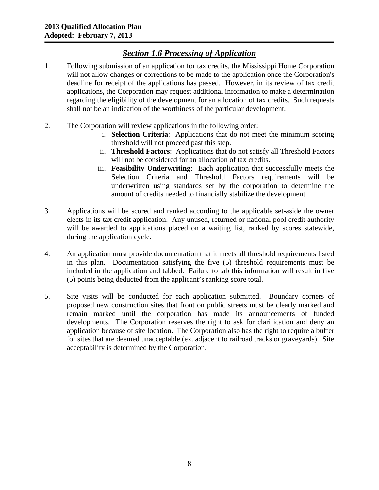# *Section 1.6 Processing of Application*

- 1. Following submission of an application for tax credits, the Mississippi Home Corporation will not allow changes or corrections to be made to the application once the Corporation's deadline for receipt of the applications has passed. However, in its review of tax credit applications, the Corporation may request additional information to make a determination regarding the eligibility of the development for an allocation of tax credits. Such requests shall not be an indication of the worthiness of the particular development.
- 2. The Corporation will review applications in the following order:
	- i. **Selection Criteria**: Applications that do not meet the minimum scoring threshold will not proceed past this step.
	- ii. **Threshold Factors**: Applications that do not satisfy all Threshold Factors will not be considered for an allocation of tax credits.
	- iii. **Feasibility Underwriting**: Each application that successfully meets the Selection Criteria and Threshold Factors requirements will be underwritten using standards set by the corporation to determine the amount of credits needed to financially stabilize the development.
- 3. Applications will be scored and ranked according to the applicable set-aside the owner elects in its tax credit application. Any unused, returned or national pool credit authority will be awarded to applications placed on a waiting list, ranked by scores statewide, during the application cycle.
- 4. An application must provide documentation that it meets all threshold requirements listed in this plan. Documentation satisfying the five (5) threshold requirements must be included in the application and tabbed. Failure to tab this information will result in five (5) points being deducted from the applicant's ranking score total.
- 5. Site visits will be conducted for each application submitted. Boundary corners of proposed new construction sites that front on public streets must be clearly marked and remain marked until the corporation has made its announcements of funded developments. The Corporation reserves the right to ask for clarification and deny an application because of site location. The Corporation also has the right to require a buffer for sites that are deemed unacceptable (ex. adjacent to railroad tracks or graveyards). Site acceptability is determined by the Corporation.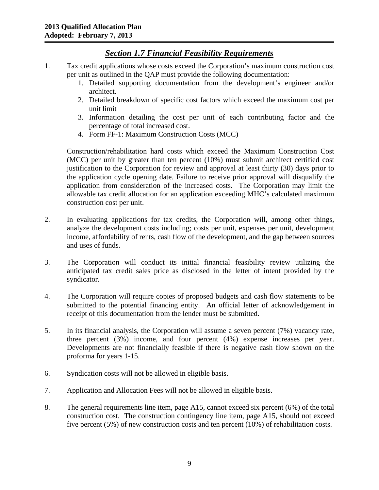# *Section 1.7 Financial Feasibility Requirements*

- 1. Tax credit applications whose costs exceed the Corporation's maximum construction cost per unit as outlined in the QAP must provide the following documentation:
	- 1. Detailed supporting documentation from the development's engineer and/or architect.
	- 2. Detailed breakdown of specific cost factors which exceed the maximum cost per unit limit
	- 3. Information detailing the cost per unit of each contributing factor and the percentage of total increased cost.
	- 4. Form FF-1: Maximum Construction Costs (MCC)

Construction/rehabilitation hard costs which exceed the Maximum Construction Cost (MCC) per unit by greater than ten percent (10%) must submit architect certified cost justification to the Corporation for review and approval at least thirty (30) days prior to the application cycle opening date. Failure to receive prior approval will disqualify the application from consideration of the increased costs. The Corporation may limit the allowable tax credit allocation for an application exceeding MHC's calculated maximum construction cost per unit.

- 2. In evaluating applications for tax credits, the Corporation will, among other things, analyze the development costs including; costs per unit, expenses per unit, development income, affordability of rents, cash flow of the development, and the gap between sources and uses of funds.
- 3. The Corporation will conduct its initial financial feasibility review utilizing the anticipated tax credit sales price as disclosed in the letter of intent provided by the syndicator.
- 4. The Corporation will require copies of proposed budgets and cash flow statements to be submitted to the potential financing entity. An official letter of acknowledgement in receipt of this documentation from the lender must be submitted.
- 5. In its financial analysis, the Corporation will assume a seven percent (7%) vacancy rate, three percent (3%) income, and four percent (4%) expense increases per year. Developments are not financially feasible if there is negative cash flow shown on the proforma for years 1-15.
- 6. Syndication costs will not be allowed in eligible basis.
- 7. Application and Allocation Fees will not be allowed in eligible basis.
- 8. The general requirements line item, page A15, cannot exceed six percent (6%) of the total construction cost. The construction contingency line item, page A15, should not exceed five percent (5%) of new construction costs and ten percent (10%) of rehabilitation costs.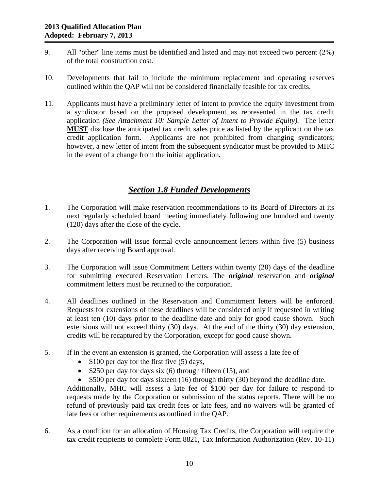- 9. All "other" line items must be identified and listed and may not exceed two percent (2%) of the total construction cost.
- 10. Developments that fail to include the minimum replacement and operating reserves outlined within the QAP will not be considered financially feasible for tax credits.
- 11. Applicants must have a preliminary letter of intent to provide the equity investment from a syndicator based on the proposed development as represented in the tax credit application *(See Attachment 10: Sample Letter of Intent to Provide Equity).* The letter **MUST** disclose the anticipated tax credit sales price as listed by the applicant on the tax credit application form. Applicants are not prohibited from changing syndicators; however, a new letter of intent from the subsequent syndicator must be provided to MHC in the event of a change from the initial application**.**

# *Section 1.8 Funded Developments*

- 1. The Corporation will make reservation recommendations to its Board of Directors at its next regularly scheduled board meeting immediately following one hundred and twenty (120) days after the close of the cycle.
- 2. The Corporation will issue formal cycle announcement letters within five (5) business days after receiving Board approval.
- 3. The Corporation will issue Commitment Letters within twenty (20) days of the deadline for submitting executed Reservation Letters. The *original* reservation and *original* commitment letters must be returned to the corporation.
- 4. All deadlines outlined in the Reservation and Commitment letters will be enforced. Requests for extensions of these deadlines will be considered only if requested in writing at least ten (10) days prior to the deadline date and only for good cause shown. Such extensions will not exceed thirty (30) days. At the end of the thirty (30) day extension, credits will be recaptured by the Corporation, except for good cause shown.
- 5. If in the event an extension is granted, the Corporation will assess a late fee of
	- $\bullet$  \$100 per day for the first five (5) days,
	- $\bullet$  \$250 per day for days six (6) through fifteen (15), and
	- $\bullet$  \$500 per day for days sixteen (16) through thirty (30) beyond the deadline date.

Additionally, MHC will assess a late fee of \$100 per day for failure to respond to requests made by the Corporation or submission of the status reports. There will be no refund of previously paid tax credit fees or late fees, and no waivers will be granted of late fees or other requirements as outlined in the QAP.

6. As a condition for an allocation of Housing Tax Credits, the Corporation will require the tax credit recipients to complete Form 8821, Tax Information Authorization (Rev. 10-11)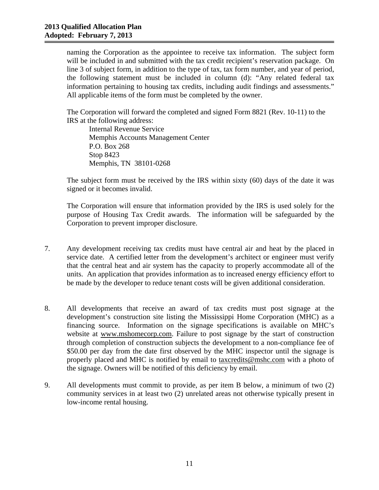naming the Corporation as the appointee to receive tax information. The subject form will be included in and submitted with the tax credit recipient's reservation package. On line 3 of subject form, in addition to the type of tax, tax form number, and year of period, the following statement must be included in column (d): "Any related federal tax information pertaining to housing tax credits, including audit findings and assessments." All applicable items of the form must be completed by the owner.

The Corporation will forward the completed and signed Form 8821 (Rev. 10-11) to the IRS at the following address:

 Internal Revenue Service Memphis Accounts Management Center P.O. Box 268 Stop 8423 Memphis, TN 38101-0268

The subject form must be received by the IRS within sixty (60) days of the date it was signed or it becomes invalid.

The Corporation will ensure that information provided by the IRS is used solely for the purpose of Housing Tax Credit awards. The information will be safeguarded by the Corporation to prevent improper disclosure.

- 7. Any development receiving tax credits must have central air and heat by the placed in service date. A certified letter from the development's architect or engineer must verify that the central heat and air system has the capacity to properly accommodate all of the units. An application that provides information as to increased energy efficiency effort to be made by the developer to reduce tenant costs will be given additional consideration.
- 8. All developments that receive an award of tax credits must post signage at the development's construction site listing the Mississippi Home Corporation (MHC) as a financing source. Information on the signage specifications is available on MHC's website at www.mshomecorp.com. Failure to post signage by the start of construction through completion of construction subjects the development to a non-compliance fee of \$50.00 per day from the date first observed by the MHC inspector until the signage is properly placed and MHC is notified by email to taxcredits@mshc.com with a photo of the signage. Owners will be notified of this deficiency by email.
- 9. All developments must commit to provide, as per item B below, a minimum of two (2) community services in at least two (2) unrelated areas not otherwise typically present in low-income rental housing.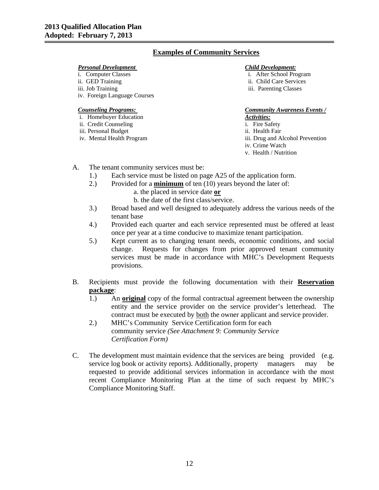#### **Examples of Community Services**

#### *Personal Development Child Development:*

- 
- 
- 
- iv. Foreign Language Courses

- i. Homebuyer Education *Activities:*
- ii. Credit Counseling in the Safety i. Fire Safety
- iii. Personal Budget iii. Health Fair
- 

i. Computer Classes i. After School Program<br>
ii. GED Training<br>
ii. Child Care Services ii. Child Care Services iii. Job Training **iii**. Parenting Classes

# *Counseling Programs: Community Awareness Events /*

- 
- 
- iv. Mental Health Program is a series of the series of the series iii. Drug and Alcohol Prevention
	- iv. Crime Watch
	- v. Health / Nutrition
- A. The tenant community services must be:
	- 1.) Each service must be listed on page A25 of the application form.
	- 2.) Provided for a **minimum** of ten (10) years beyond the later of:
		- a. the placed in service date **or**
		- b. the date of the first class/service.
	- 3.) Broad based and well designed to adequately address the various needs of the tenant base
	- 4.) Provided each quarter and each service represented must be offered at least once per year at a time conducive to maximize tenant participation.
	- 5.) Kept current as to changing tenant needs, economic conditions, and social change. Requests for changes from prior approved tenant community services must be made in accordance with MHC's Development Requests provisions.
- B. Recipients must provide the following documentation with their **Reservation package**:
	- 1.) An **original** copy of the formal contractual agreement between the ownership entity and the service provider on the service provider's letterhead. The contract must be executed by both the owner applicant and service provider.
	- 2.) MHC's Community Service Certification form for each community service *(See Attachment 9: Community Service Certification Form)*
- C. The development must maintain evidence that the services are being provided (e.g. service log book or activity reports). Additionally, property managers may be requested to provide additional services information in accordance with the most recent Compliance Monitoring Plan at the time of such request by MHC's Compliance Monitoring Staff.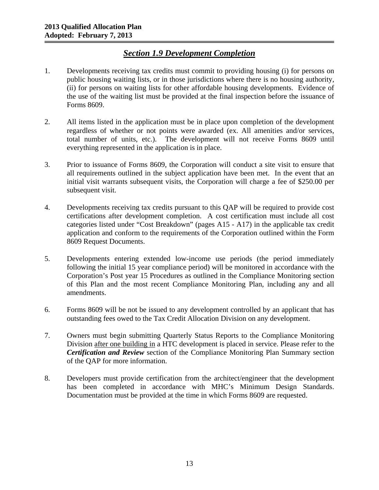# *Section 1.9 Development Completion*

- 1. Developments receiving tax credits must commit to providing housing (i) for persons on public housing waiting lists, or in those jurisdictions where there is no housing authority, (ii) for persons on waiting lists for other affordable housing developments. Evidence of the use of the waiting list must be provided at the final inspection before the issuance of Forms 8609.
- 2. All items listed in the application must be in place upon completion of the development regardless of whether or not points were awarded (ex. All amenities and/or services, total number of units, etc.). The development will not receive Forms 8609 until everything represented in the application is in place.
- 3. Prior to issuance of Forms 8609, the Corporation will conduct a site visit to ensure that all requirements outlined in the subject application have been met. In the event that an initial visit warrants subsequent visits, the Corporation will charge a fee of \$250.00 per subsequent visit.
- 4. Developments receiving tax credits pursuant to this QAP will be required to provide cost certifications after development completion. A cost certification must include all cost categories listed under "Cost Breakdown" (pages A15 - A17) in the applicable tax credit application and conform to the requirements of the Corporation outlined within the Form 8609 Request Documents.
- 5. Developments entering extended low-income use periods (the period immediately following the initial 15 year compliance period) will be monitored in accordance with the Corporation's Post year 15 Procedures as outlined in the Compliance Monitoring section of this Plan and the most recent Compliance Monitoring Plan, including any and all amendments.
- 6. Forms 8609 will be not be issued to any development controlled by an applicant that has outstanding fees owed to the Tax Credit Allocation Division on any development.
- 7. Owners must begin submitting Quarterly Status Reports to the Compliance Monitoring Division after one building in a HTC development is placed in service. Please refer to the *Certification and Review* section of the Compliance Monitoring Plan Summary section of the QAP for more information.
- 8. Developers must provide certification from the architect/engineer that the development has been completed in accordance with MHC's Minimum Design Standards. Documentation must be provided at the time in which Forms 8609 are requested.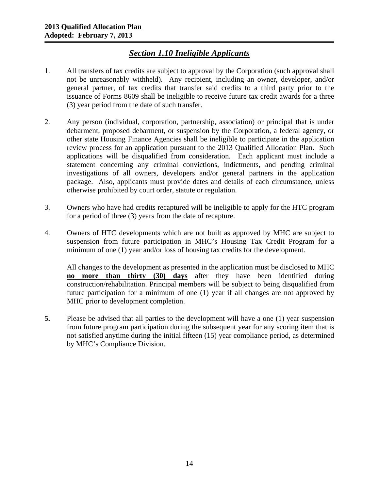# *Section 1.10 Ineligible Applicants*

- 1. All transfers of tax credits are subject to approval by the Corporation (such approval shall not be unreasonably withheld). Any recipient, including an owner, developer, and/or general partner, of tax credits that transfer said credits to a third party prior to the issuance of Forms 8609 shall be ineligible to receive future tax credit awards for a three (3) year period from the date of such transfer.
- 2. Any person (individual, corporation, partnership, association) or principal that is under debarment, proposed debarment, or suspension by the Corporation, a federal agency, or other state Housing Finance Agencies shall be ineligible to participate in the application review process for an application pursuant to the 2013 Qualified Allocation Plan. Such applications will be disqualified from consideration. Each applicant must include a statement concerning any criminal convictions, indictments, and pending criminal investigations of all owners, developers and/or general partners in the application package. Also, applicants must provide dates and details of each circumstance, unless otherwise prohibited by court order, statute or regulation.
- 3. Owners who have had credits recaptured will be ineligible to apply for the HTC program for a period of three (3) years from the date of recapture.
- 4. Owners of HTC developments which are not built as approved by MHC are subject to suspension from future participation in MHC's Housing Tax Credit Program for a minimum of one (1) year and/or loss of housing tax credits for the development.

 All changes to the development as presented in the application must be disclosed to MHC **no more than thirty (30) days** after they have been identified during construction/rehabilitation. Principal members will be subject to being disqualified from future participation for a minimum of one (1) year if all changes are not approved by MHC prior to development completion.

**5.** Please be advised that all parties to the development will have a one (1) year suspension from future program participation during the subsequent year for any scoring item that is not satisfied anytime during the initial fifteen (15) year compliance period, as determined by MHC's Compliance Division.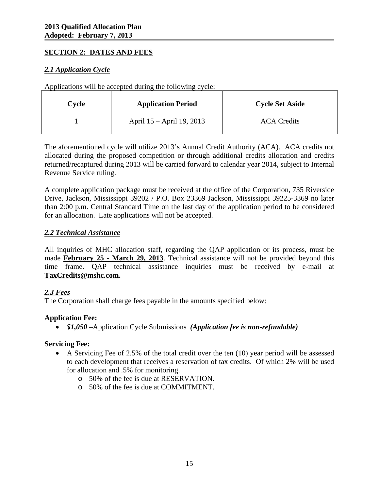#### **SECTION 2: DATES AND FEES**

#### *2.1 Application Cycle*

Applications will be accepted during the following cycle:

| Cvcle | <b>Application Period</b> | <b>Cycle Set Aside</b> |
|-------|---------------------------|------------------------|
|       | April 15 – April 19, 2013 | <b>ACA</b> Credits     |

The aforementioned cycle will utilize 2013's Annual Credit Authority (ACA). ACA credits not allocated during the proposed competition or through additional credits allocation and credits returned/recaptured during 2013 will be carried forward to calendar year 2014, subject to Internal Revenue Service ruling.

A complete application package must be received at the office of the Corporation, 735 Riverside Drive, Jackson, Mississippi 39202 / P.O. Box 23369 Jackson, Mississippi 39225-3369 no later than 2:00 p.m. Central Standard Time on the last day of the application period to be considered for an allocation. Late applications will not be accepted.

#### *2.2 Technical Assistance*

All inquiries of MHC allocation staff, regarding the QAP application or its process, must be made **February 25 - March 29, 2013**. Technical assistance will not be provided beyond this time frame. QAP technical assistance inquiries must be received by e-mail at **TaxCredits@mshc.com.**

#### *2.3 Fees*

The Corporation shall charge fees payable in the amounts specified below:

#### **Application Fee:**

*\$1,050* –Application Cycle Submissions *(Application fee is non-refundable)*

#### **Servicing Fee:**

- A Servicing Fee of 2.5% of the total credit over the ten (10) year period will be assessed to each development that receives a reservation of tax credits. Of which 2% will be used for allocation and .5% for monitoring.
	- o 50% of the fee is due at RESERVATION.
	- o 50% of the fee is due at COMMITMENT.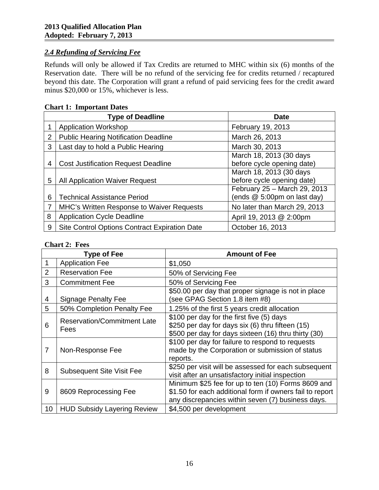#### *2.4 Refunding of Servicing Fee*

Refunds will only be allowed if Tax Credits are returned to MHC within six (6) months of the Reservation date. There will be no refund of the servicing fee for credits returned / recaptured beyond this date. The Corporation will grant a refund of paid servicing fees for the credit award minus \$20,000 or 15%, whichever is less.

#### **Chart 1: Important Dates**

|   | <b>Type of Deadline</b>                          | <b>Date</b>                                                 |
|---|--------------------------------------------------|-------------------------------------------------------------|
|   | <b>Application Workshop</b>                      | February 19, 2013                                           |
| 2 | <b>Public Hearing Notification Deadline</b>      | March 26, 2013                                              |
| 3 | Last day to hold a Public Hearing                | March 30, 2013                                              |
| 4 | <b>Cost Justification Request Deadline</b>       | March 18, 2013 (30 days<br>before cycle opening date)       |
| 5 | <b>All Application Waiver Request</b>            | March 18, 2013 (30 days<br>before cycle opening date)       |
| 6 | <b>Technical Assistance Period</b>               | February 25 - March 29, 2013<br>(ends @ 5:00pm on last day) |
|   | <b>MHC's Written Response to Waiver Requests</b> | No later than March 29, 2013                                |
| 8 | <b>Application Cycle Deadline</b>                | April 19, 2013 @ 2:00pm                                     |
| 9 | Site Control Options Contract Expiration Date    | October 16, 2013                                            |

#### **Chart 2: Fees**

|    | <b>Type of Fee</b>                         | <b>Amount of Fee</b>                                                                                                                                                |  |
|----|--------------------------------------------|---------------------------------------------------------------------------------------------------------------------------------------------------------------------|--|
|    | <b>Application Fee</b>                     | \$1,050                                                                                                                                                             |  |
| 2  | <b>Reservation Fee</b>                     | 50% of Servicing Fee                                                                                                                                                |  |
| 3  | <b>Commitment Fee</b>                      | 50% of Servicing Fee                                                                                                                                                |  |
| 4  | <b>Signage Penalty Fee</b>                 | \$50.00 per day that proper signage is not in place<br>(see GPAG Section 1.8 item #8)                                                                               |  |
| 5  | 50% Completion Penalty Fee                 | 1.25% of the first 5 years credit allocation                                                                                                                        |  |
| 6  | <b>Reservation/Commitment Late</b><br>Fees | \$100 per day for the first five (5) days<br>\$250 per day for days six (6) thru fifteen (15)<br>\$500 per day for days sixteen (16) thru thirty (30)               |  |
| 7  | Non-Response Fee                           | \$100 per day for failure to respond to requests<br>made by the Corporation or submission of status<br>reports.                                                     |  |
| 8  | <b>Subsequent Site Visit Fee</b>           | \$250 per visit will be assessed for each subsequent<br>visit after an unsatisfactory initial inspection                                                            |  |
| 9  | 8609 Reprocessing Fee                      | Minimum \$25 fee for up to ten (10) Forms 8609 and<br>\$1.50 for each additional form if owners fail to report<br>any discrepancies within seven (7) business days. |  |
| 10 | <b>HUD Subsidy Layering Review</b>         | \$4,500 per development                                                                                                                                             |  |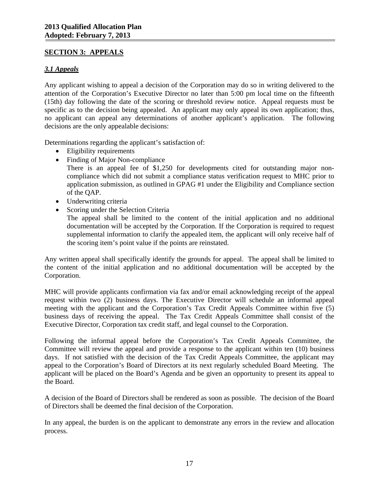#### **SECTION 3: APPEALS**

#### *3.1 Appeals*

Any applicant wishing to appeal a decision of the Corporation may do so in writing delivered to the attention of the Corporation's Executive Director no later than 5:00 pm local time on the fifteenth (15th) day following the date of the scoring or threshold review notice. Appeal requests must be specific as to the decision being appealed. An applicant may only appeal its own application; thus, no applicant can appeal any determinations of another applicant's application. The following decisions are the only appealable decisions:

Determinations regarding the applicant's satisfaction of:

- Eligibility requirements
- Finding of Major Non-compliance
	- There is an appeal fee of \$1,250 for developments cited for outstanding major noncompliance which did not submit a compliance status verification request to MHC prior to application submission, as outlined in GPAG #1 under the Eligibility and Compliance section of the QAP.
- Underwriting criteria
- Scoring under the Selection Criteria

The appeal shall be limited to the content of the initial application and no additional documentation will be accepted by the Corporation. If the Corporation is required to request supplemental information to clarify the appealed item, the applicant will only receive half of the scoring item's point value if the points are reinstated.

Any written appeal shall specifically identify the grounds for appeal. The appeal shall be limited to the content of the initial application and no additional documentation will be accepted by the Corporation.

MHC will provide applicants confirmation via fax and/or email acknowledging receipt of the appeal request within two (2) business days. The Executive Director will schedule an informal appeal meeting with the applicant and the Corporation's Tax Credit Appeals Committee within five (5) business days of receiving the appeal. The Tax Credit Appeals Committee shall consist of the Executive Director, Corporation tax credit staff, and legal counsel to the Corporation.

Following the informal appeal before the Corporation's Tax Credit Appeals Committee, the Committee will review the appeal and provide a response to the applicant within ten (10) business days. If not satisfied with the decision of the Tax Credit Appeals Committee, the applicant may appeal to the Corporation's Board of Directors at its next regularly scheduled Board Meeting. The applicant will be placed on the Board's Agenda and be given an opportunity to present its appeal to the Board.

A decision of the Board of Directors shall be rendered as soon as possible. The decision of the Board of Directors shall be deemed the final decision of the Corporation.

In any appeal, the burden is on the applicant to demonstrate any errors in the review and allocation process.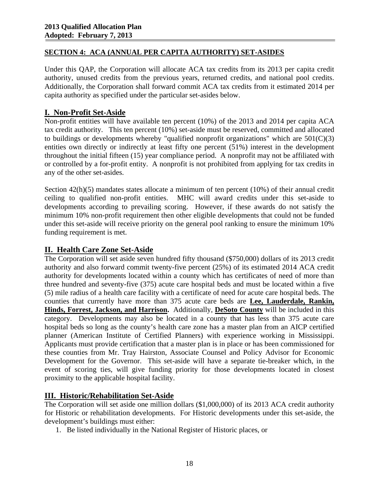#### **SECTION 4: ACA (ANNUAL PER CAPITA AUTHORITY) SET-ASIDES**

Under this QAP, the Corporation will allocate ACA tax credits from its 2013 per capita credit authority, unused credits from the previous years, returned credits, and national pool credits. Additionally, the Corporation shall forward commit ACA tax credits from it estimated 2014 per capita authority as specified under the particular set-asides below.

#### **I. Non-Profit Set-Aside**

Non-profit entities will have available ten percent (10%) of the 2013 and 2014 per capita ACA tax credit authority. This ten percent (10%) set-aside must be reserved, committed and allocated to buildings or developments whereby "qualified nonprofit organizations" which are  $501(C)(3)$ entities own directly or indirectly at least fifty one percent (51%) interest in the development throughout the initial fifteen (15) year compliance period. A nonprofit may not be affiliated with or controlled by a for-profit entity. A nonprofit is not prohibited from applying for tax credits in any of the other set-asides.

Section 42(h)(5) mandates states allocate a minimum of ten percent (10%) of their annual credit ceiling to qualified non-profit entities. MHC will award credits under this set-aside to developments according to prevailing scoring. However, if these awards do not satisfy the minimum 10% non-profit requirement then other eligible developments that could not be funded under this set-aside will receive priority on the general pool ranking to ensure the minimum 10% funding requirement is met.

#### **II. Health Care Zone Set-Aside**

The Corporation will set aside seven hundred fifty thousand (\$750,000) dollars of its 2013 credit authority and also forward commit twenty-five percent (25%) of its estimated 2014 ACA credit authority for developments located within a county which has certificates of need of more than three hundred and seventy-five (375) acute care hospital beds and must be located within a five (5) mile radius of a health care facility with a certificate of need for acute care hospital beds. The counties that currently have more than 375 acute care beds are **Lee, Lauderdale, Rankin, Hinds, Forrest, Jackson, and Harrison.** Additionally, **DeSoto County** will be included in this category. Developments may also be located in a county that has less than 375 acute care hospital beds so long as the county's health care zone has a master plan from an AICP certified planner (American Institute of Certified Planners) with experience working in Mississippi. Applicants must provide certification that a master plan is in place or has been commissioned for these counties from Mr. Tray Hairston, Associate Counsel and Policy Advisor for Economic Development for the Governor.This set-aside will have a separate tie-breaker which, in the event of scoring ties, will give funding priority for those developments located in closest proximity to the applicable hospital facility.

#### **III. Historic/Rehabilitation Set-Aside**

The Corporation will set aside one million dollars (\$1,000,000) of its 2013 ACA credit authority for Historic or rehabilitation developments. For Historic developments under this set-aside, the development's buildings must either:

1. Be listed individually in the National Register of Historic places, or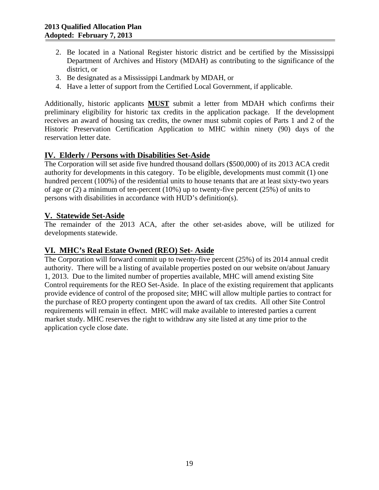- 2. Be located in a National Register historic district and be certified by the Mississippi Department of Archives and History (MDAH) as contributing to the significance of the district, or
- 3. Be designated as a Mississippi Landmark by MDAH, or
- 4. Have a letter of support from the Certified Local Government, if applicable.

Additionally, historic applicants **MUST** submit a letter from MDAH which confirms their preliminary eligibility for historic tax credits in the application package. If the development receives an award of housing tax credits, the owner must submit copies of Parts 1 and 2 of the Historic Preservation Certification Application to MHC within ninety (90) days of the reservation letter date.

#### **IV. Elderly / Persons with Disabilities Set-Aside**

The Corporation will set aside five hundred thousand dollars (\$500,000) of its 2013 ACA credit authority for developments in this category. To be eligible, developments must commit (1) one hundred percent (100%) of the residential units to house tenants that are at least sixty-two years of age or (2) a minimum of ten-percent (10%) up to twenty-five percent (25%) of units to persons with disabilities in accordance with HUD's definition(s).

#### **V. Statewide Set-Aside**

The remainder of the 2013 ACA, after the other set-asides above, will be utilized for developments statewide.

#### **VI. MHC's Real Estate Owned (REO) Set- Aside**

The Corporation will forward commit up to twenty-five percent (25%) of its 2014 annual credit authority. There will be a listing of available properties posted on our website on/about January 1, 2013. Due to the limited number of properties available, MHC will amend existing Site Control requirements for the REO Set-Aside. In place of the existing requirement that applicants provide evidence of control of the proposed site; MHC will allow multiple parties to contract for the purchase of REO property contingent upon the award of tax credits. All other Site Control requirements will remain in effect. MHC will make available to interested parties a current market study. MHC reserves the right to withdraw any site listed at any time prior to the application cycle close date.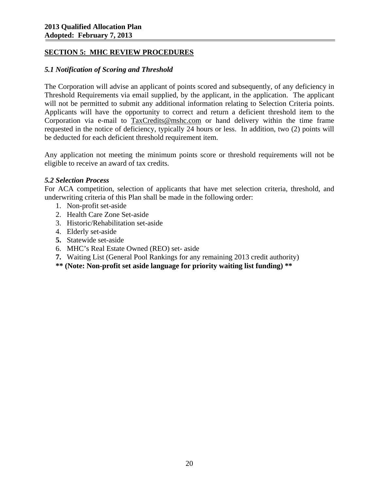#### **SECTION 5: MHC REVIEW PROCEDURES**

#### *5.1 Notification of Scoring and Threshold*

The Corporation will advise an applicant of points scored and subsequently, of any deficiency in Threshold Requirements via email supplied, by the applicant, in the application. The applicant will not be permitted to submit any additional information relating to Selection Criteria points. Applicants will have the opportunity to correct and return a deficient threshold item to the Corporation via e-mail to TaxCredits@mshc.com or hand delivery within the time frame requested in the notice of deficiency, typically 24 hours or less. In addition, two (2) points will be deducted for each deficient threshold requirement item.

Any application not meeting the minimum points score or threshold requirements will not be eligible to receive an award of tax credits.

#### *5.2 Selection Process*

For ACA competition, selection of applicants that have met selection criteria, threshold, and underwriting criteria of this Plan shall be made in the following order:

- 1. Non-profit set-aside
- 2. Health Care Zone Set-aside
- 3. Historic/Rehabilitation set-aside
- 4. Elderly set-aside
- **5.** Statewide set-aside
- 6. MHC's Real Estate Owned (REO) set- aside
- **7.** Waiting List (General Pool Rankings for any remaining 2013 credit authority)
- **\*\* (Note: Non-profit set aside language for priority waiting list funding) \*\***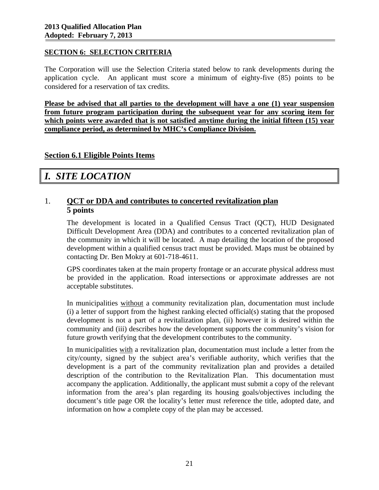#### **SECTION 6: SELECTION CRITERIA**

The Corporation will use the Selection Criteria stated below to rank developments during the application cycle. An applicant must score a minimum of eighty-five (85) points to be considered for a reservation of tax credits.

**Please be advised that all parties to the development will have a one (1) year suspension from future program participation during the subsequent year for any scoring item for which points were awarded that is not satisfied anytime during the initial fifteen (15) year compliance period, as determined by MHC's Compliance Division.** 

#### **Section 6.1 Eligible Points Items**

# *I. SITE LOCATION*

### 1. **QCT or DDA and contributes to concerted revitalization plan 5 points**

The development is located in a Qualified Census Tract (QCT), HUD Designated Difficult Development Area (DDA) and contributes to a concerted revitalization plan of the community in which it will be located. A map detailing the location of the proposed development within a qualified census tract must be provided. Maps must be obtained by contacting Dr. Ben Mokry at 601-718-4611.

GPS coordinates taken at the main property frontage or an accurate physical address must be provided in the application. Road intersections or approximate addresses are not acceptable substitutes.

In municipalities without a community revitalization plan, documentation must include (i) a letter of support from the highest ranking elected official(s) stating that the proposed development is not a part of a revitalization plan, (ii) however it is desired within the community and (iii) describes how the development supports the community's vision for future growth verifying that the development contributes to the community.

In municipalities with a revitalization plan, documentation must include a letter from the city/county, signed by the subject area's verifiable authority, which verifies that the development is a part of the community revitalization plan and provides a detailed description of the contribution to the Revitalization Plan. This documentation must accompany the application. Additionally, the applicant must submit a copy of the relevant information from the area's plan regarding its housing goals/objectives including the document's title page OR the locality's letter must reference the title, adopted date, and information on how a complete copy of the plan may be accessed.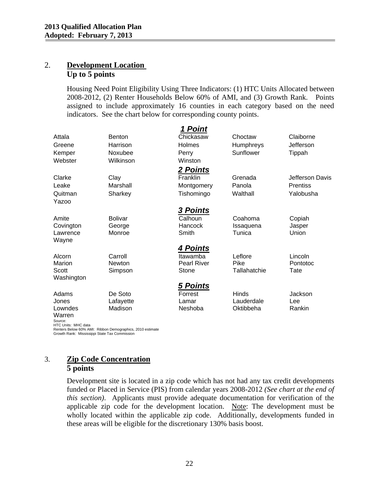#### 2. **Development Location Up to 5 points**

Housing Need Point Eligibility Using Three Indicators: (1) HTC Units Allocated between 2008-2012, (2) Renter Households Below 60% of AMI, and (3) Growth Rank. Points assigned to include approximately 16 counties in each category based on the need indicators. See the chart below for corresponding county points.

|                                |                | 1 Point            |              |                 |
|--------------------------------|----------------|--------------------|--------------|-----------------|
| Attala                         | <b>Benton</b>  | Chickasaw          | Choctaw      | Claiborne       |
| Greene                         | Harrison       | Holmes             | Humphreys    | Jefferson       |
| Kemper                         | Noxubee        | Perry              | Sunflower    | Tippah          |
| Webster                        | Wilkinson      | Winston            |              |                 |
|                                |                | 2 Points           |              |                 |
| Clarke                         | Clay           | Franklin           | Grenada      | Jefferson Davis |
| Leake                          | Marshall       | Montgomery         | Panola       | <b>Prentiss</b> |
| Quitman                        | Sharkey        | Tishomingo         | Walthall     | Yalobusha       |
| Yazoo                          |                |                    |              |                 |
|                                |                | <b>3 Points</b>    |              |                 |
| Amite                          | <b>Bolivar</b> | Calhoun            | Coahoma      | Copiah          |
| Covington                      | George         | Hancock            | Issaquena    | Jasper          |
| Lawrence                       | Monroe         | Smith              | Tunica       | Union           |
| Wayne                          |                |                    |              |                 |
|                                |                | <b>4 Points</b>    |              |                 |
| Alcorn                         | Carroll        | Itawamba           | Leflore      | Lincoln         |
| Marion                         | <b>Newton</b>  | <b>Pearl River</b> | Pike         | Pontotoc        |
| Scott                          | Simpson        | Stone              | Tallahatchie | Tate            |
| Washington                     |                |                    |              |                 |
|                                |                | <b>5 Points</b>    |              |                 |
| Adams                          | De Soto        | Forrest            | <b>Hinds</b> | Jackson         |
| Jones                          | Lafayette      | Lamar              | Lauderdale   | Lee             |
| Lowndes                        | Madison        | Neshoba            | Oktibbeha    | Rankin          |
| Warren                         |                |                    |              |                 |
| Source:<br>HTC Units: MHC data | $-1$           |                    |              |                 |

HTC Units: MHC data Renters Below 60% AMI: Ribbon Demographics, 2010 estimate Growth Rank: Mississippi State Tax Commission

#### 3. **Zip Code Concentration 5 points**

 Development site is located in a zip code which has not had any tax credit developments funded or Placed in Service (PIS) from calendar years 2008-2012 *(See chart at the end of this section)*. Applicants must provide adequate documentation for verification of the applicable zip code for the development location. Note: The development must be wholly located within the applicable zip code. Additionally, developments funded in these areas will be eligible for the discretionary 130% basis boost.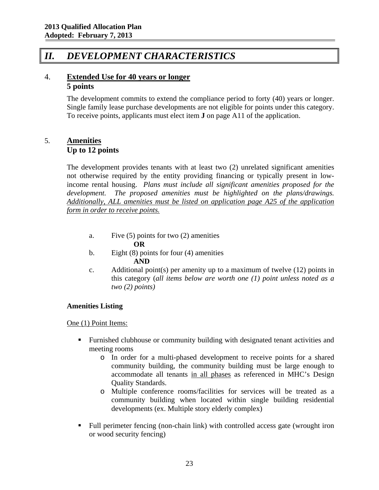# *II. DEVELOPMENT CHARACTERISTICS*

#### 4. **Extended Use for 40 years or longer 5 points**

The development commits to extend the compliance period to forty (40) years or longer. Single family lease purchase developments are not eligible for points under this category. To receive points, applicants must elect item **J** on page A11 of the application.

#### 5. **Amenities Up to 12 points**

The development provides tenants with at least two (2) unrelated significant amenities not otherwise required by the entity providing financing or typically present in lowincome rental housing. *Plans must include all significant amenities proposed for the development. The proposed amenities must be highlighted on the plans/drawings. Additionally, ALL amenities must be listed on application page A25 of the application form in order to receive points.* 

- a. Five  $(5)$  points for two  $(2)$  amenities **OR**
- b. Eight (8) points for four (4) amenities **AND**
- c. Additional point(s) per amenity up to a maximum of twelve (12) points in this category (*all items below are worth one (1) point unless noted as a two (2) points)*

#### **Amenities Listing**

One (1) Point Items:

- Furnished clubhouse or community building with designated tenant activities and meeting rooms
	- o In order for a multi-phased development to receive points for a shared community building, the community building must be large enough to accommodate all tenants in all phases as referenced in MHC's Design Quality Standards.
	- o Multiple conference rooms/facilities for services will be treated as a community building when located within single building residential developments (ex. Multiple story elderly complex)
- Full perimeter fencing (non-chain link) with controlled access gate (wrought iron or wood security fencing)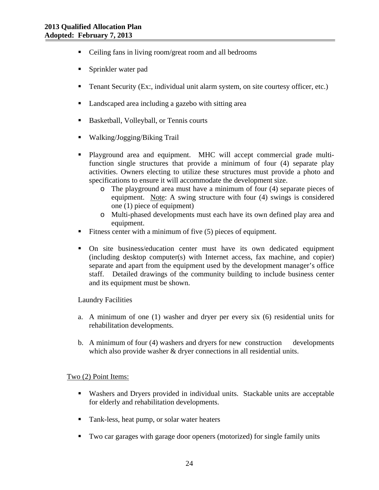- Ceiling fans in living room/great room and all bedrooms
- **Sprinkler water pad**
- Tenant Security (Ex:, individual unit alarm system, on site courtesy officer, etc.)
- Landscaped area including a gazebo with sitting area
- Basketball, Volleyball, or Tennis courts
- Walking/Jogging/Biking Trail
- Playground area and equipment. MHC will accept commercial grade multifunction single structures that provide a minimum of four (4) separate play activities. Owners electing to utilize these structures must provide a photo and specifications to ensure it will accommodate the development size.
	- o The playground area must have a minimum of four (4) separate pieces of equipment. Note: A swing structure with four (4) swings is considered one (1) piece of equipment)
	- o Multi-phased developments must each have its own defined play area and equipment.
- Fitness center with a minimum of five  $(5)$  pieces of equipment.
- On site business/education center must have its own dedicated equipment (including desktop computer(s) with Internet access, fax machine, and copier) separate and apart from the equipment used by the development manager's office staff. Detailed drawings of the community building to include business center and its equipment must be shown.

Laundry Facilities

- a. A minimum of one (1) washer and dryer per every six (6) residential units for rehabilitation developments.
- b. A minimum of four (4) washers and dryers for new construction developments which also provide washer  $\&$  dryer connections in all residential units.

#### Two (2) Point Items:

- Washers and Dryers provided in individual units. Stackable units are acceptable for elderly and rehabilitation developments.
- Tank-less, heat pump, or solar water heaters
- Two car garages with garage door openers (motorized) for single family units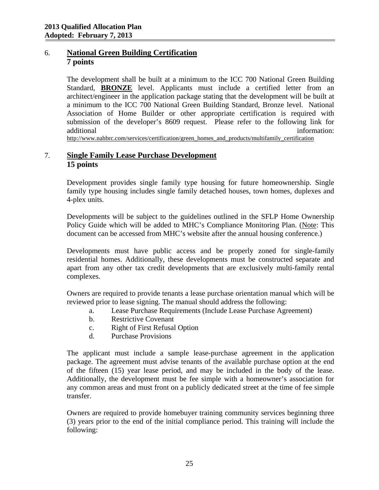#### 6. **National Green Building Certification 7 points**

The development shall be built at a minimum to the ICC 700 National Green Building Standard, **BRONZE** level. Applicants must include a certified letter from an architect/engineer in the application package stating that the development will be built at a minimum to the ICC 700 National Green Building Standard, Bronze level. National Association of Home Builder or other appropriate certification is required with submission of the developer's 8609 request. Please refer to the following link for additional information:  $\blacksquare$  information:  $\blacksquare$  information:  $\blacksquare$ http://www.nahbrc.com/services/certification/green\_homes\_and\_products/multifamily\_certification

#### 7.**Single Family Lease Purchase Development 15 points**

Development provides single family type housing for future homeownership. Single family type housing includes single family detached houses, town homes, duplexes and 4-plex units.

Developments will be subject to the guidelines outlined in the SFLP Home Ownership Policy Guide which will be added to MHC's Compliance Monitoring Plan. (Note: This document can be accessed from MHC's website after the annual housing conference.)

Developments must have public access and be properly zoned for single-family residential homes. Additionally, these developments must be constructed separate and apart from any other tax credit developments that are exclusively multi-family rental complexes.

Owners are required to provide tenants a lease purchase orientation manual which will be reviewed prior to lease signing. The manual should address the following:

- a. Lease Purchase Requirements (Include Lease Purchase Agreement)
- b. Restrictive Covenant
- c. Right of First Refusal Option
- d. Purchase Provisions

The applicant must include a sample lease-purchase agreement in the application package. The agreement must advise tenants of the available purchase option at the end of the fifteen (15) year lease period, and may be included in the body of the lease. Additionally, the development must be fee simple with a homeowner's association for any common areas and must front on a publicly dedicated street at the time of fee simple transfer.

Owners are required to provide homebuyer training community services beginning three (3) years prior to the end of the initial compliance period. This training will include the following: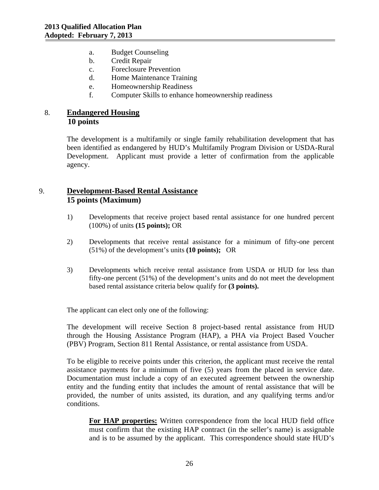- a. Budget Counseling
- b. Credit Repair
- c. Foreclosure Prevention
- d. Home Maintenance Training
- e. Homeownership Readiness
- f. Computer Skills to enhance homeownership readiness

#### 8. **Endangered Housing 10 points**

The development is a multifamily or single family rehabilitation development that has been identified as endangered by HUD's Multifamily Program Division or USDA-Rural Development. Applicant must provide a letter of confirmation from the applicable agency.

#### 9. **Development-Based Rental Assistance 15 points (Maximum)**

- 1) Developments that receive project based rental assistance for one hundred percent (100%) of units **(15 points);** OR
- 2) Developments that receive rental assistance for a minimum of fifty-one percent (51%) of the development's units **(10 points);** OR
- 3) Developments which receive rental assistance from USDA or HUD for less than fifty-one percent (51%) of the development's units and do not meet the development based rental assistance criteria below qualify for **(3 points).**

The applicant can elect only one of the following:

The development will receive Section 8 project-based rental assistance from HUD through the Housing Assistance Program (HAP), a PHA via Project Based Voucher (PBV) Program, Section 811 Rental Assistance, or rental assistance from USDA.

To be eligible to receive points under this criterion, the applicant must receive the rental assistance payments for a minimum of five (5) years from the placed in service date. Documentation must include a copy of an executed agreement between the ownership entity and the funding entity that includes the amount of rental assistance that will be provided, the number of units assisted, its duration, and any qualifying terms and/or conditions.

**For HAP properties:** Written correspondence from the local HUD field office must confirm that the existing HAP contract (in the seller's name) is assignable and is to be assumed by the applicant. This correspondence should state HUD's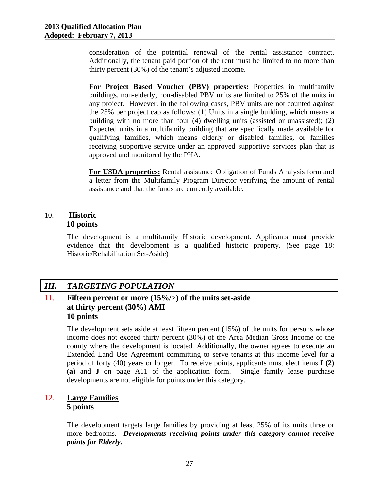consideration of the potential renewal of the rental assistance contract. Additionally, the tenant paid portion of the rent must be limited to no more than thirty percent (30%) of the tenant's adjusted income.

**For Project Based Voucher (PBV) properties:** Properties in multifamily buildings, non-elderly, non-disabled PBV units are limited to 25% of the units in any project. However, in the following cases, PBV units are not counted against the 25% per project cap as follows: (1) Units in a single building, which means a building with no more than four (4) dwelling units (assisted or unassisted); (2) Expected units in a multifamily building that are specifically made available for qualifying families, which means elderly or disabled families, or families receiving supportive service under an approved supportive services plan that is approved and monitored by the PHA.

**For USDA properties:** Rental assistance Obligation of Funds Analysis form and a letter from the Multifamily Program Director verifying the amount of rental assistance and that the funds are currently available.

#### 10. **Historic 10 points**

The development is a multifamily Historic development. Applicants must provide evidence that the development is a qualified historic property. (See page 18: Historic/Rehabilitation Set-Aside)

# *III. TARGETING POPULATION*

#### 11. **Fifteen percent or more (15%/>) of the units set-aside at thirty percent (30%) AMI 10 points**

The development sets aside at least fifteen percent (15%) of the units for persons whose income does not exceed thirty percent (30%) of the Area Median Gross Income of the county where the development is located. Additionally, the owner agrees to execute an Extended Land Use Agreement committing to serve tenants at this income level for a period of forty (40) years or longer. To receive points, applicants must elect items **I (2) (a)** and **J** on page A11 of the application form. Single family lease purchase developments are not eligible for points under this category.

#### 12. **Large Families 5 points**

The development targets large families by providing at least 25% of its units three or more bedrooms. *Developments receiving points under this category cannot receive points for Elderly.*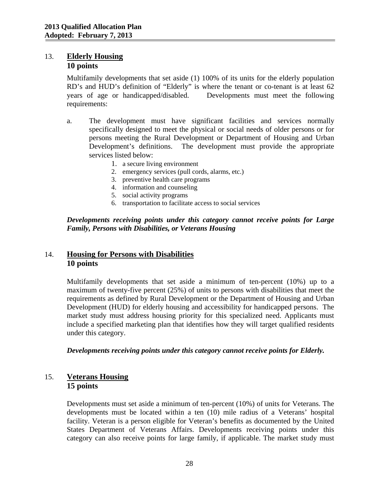#### 13. **Elderly Housing 10 points**

Multifamily developments that set aside (1) 100% of its units for the elderly population RD's and HUD's definition of "Elderly" is where the tenant or co-tenant is at least 62 years of age or handicapped/disabled. Developments must meet the following requirements:

- a. The development must have significant facilities and services normally specifically designed to meet the physical or social needs of older persons or for persons meeting the Rural Development or Department of Housing and Urban Development's definitions. The development must provide the appropriate services listed below:
	- 1. a secure living environment
	- 2. emergency services (pull cords, alarms, etc.)
	- 3. preventive health care programs
	- 4. information and counseling
	- 5. social activity programs
	- 6. transportation to facilitate access to social services

#### *Developments receiving points under this category cannot receive points for Large Family, Persons with Disabilities, or Veterans Housing*

#### 14. **Housing for Persons with Disabilities 10 points**

Multifamily developments that set aside a minimum of ten-percent (10%) up to a maximum of twenty-five percent (25%) of units to persons with disabilities that meet the requirements as defined by Rural Development or the Department of Housing and Urban Development (HUD) for elderly housing and accessibility for handicapped persons. The market study must address housing priority for this specialized need. Applicants must include a specified marketing plan that identifies how they will target qualified residents under this category.

*Developments receiving points under this category cannot receive points for Elderly.*

#### 15. **Veterans Housing 15 points**

Developments must set aside a minimum of ten-percent (10%) of units for Veterans. The developments must be located within a ten (10) mile radius of a Veterans' hospital facility. Veteran is a person eligible for Veteran's benefits as documented by the United States Department of Veterans Affairs. Developments receiving points under this category can also receive points for large family, if applicable. The market study must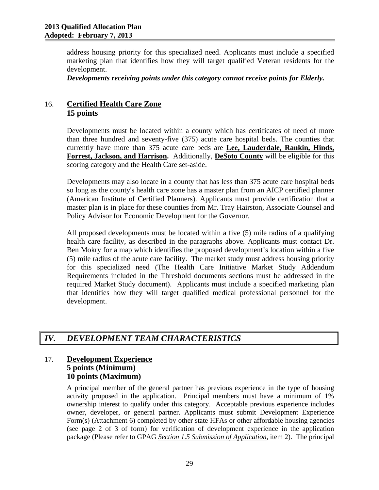address housing priority for this specialized need. Applicants must include a specified marketing plan that identifies how they will target qualified Veteran residents for the development.

*Developments receiving points under this category cannot receive points for Elderly.* 

#### 16. **Certified Health Care Zone 15 points**

Developments must be located within a county which has certificates of need of more than three hundred and seventy-five (375) acute care hospital beds. The counties that currently have more than 375 acute care beds are **Lee, Lauderdale, Rankin, Hinds, Forrest, Jackson, and Harrison.** Additionally, **DeSoto County** will be eligible for this scoring category and the Health Care set-aside.

Developments may also locate in a county that has less than 375 acute care hospital beds so long as the county's health care zone has a master plan from an AICP certified planner (American Institute of Certified Planners). Applicants must provide certification that a master plan is in place for these counties from Mr. Tray Hairston, Associate Counsel and Policy Advisor for Economic Development for the Governor.

All proposed developments must be located within a five (5) mile radius of a qualifying health care facility, as described in the paragraphs above. Applicants must contact Dr. Ben Mokry for a map which identifies the proposed development's location within a five (5) mile radius of the acute care facility. The market study must address housing priority for this specialized need (The Health Care Initiative Market Study Addendum Requirements included in the Threshold documents sections must be addressed in the required Market Study document). Applicants must include a specified marketing plan that identifies how they will target qualified medical professional personnel for the development.

# *IV. DEVELOPMENT TEAM CHARACTERISTICS*

#### 17. **Development Experience 5 points (Minimum) 10 points (Maximum)**

A principal member of the general partner has previous experience in the type of housing activity proposed in the application. Principal members must have a minimum of 1% ownership interest to qualify under this category. Acceptable previous experience includes owner, developer, or general partner. Applicants must submit Development Experience Form(s) (Attachment 6) completed by other state HFAs or other affordable housing agencies (see page 2 of 3 of form) for verification of development experience in the application package (Please refer to GPAG *Section 1.5 Submission of Application*, item 2). The principal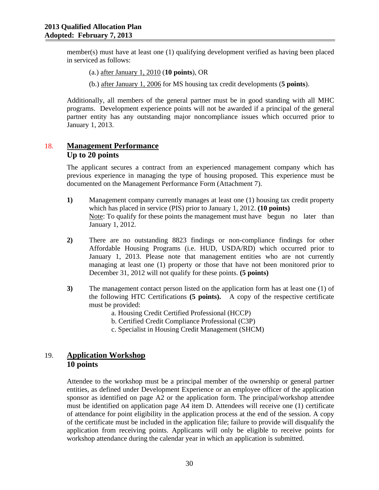member(s) must have at least one (1) qualifying development verified as having been placed in serviced as follows:

- (a.) after January 1, 2010 (**10 points**), OR
- (b.) after January 1, 2006 for MS housing tax credit developments (**5 points**).

Additionally, all members of the general partner must be in good standing with all MHC programs. Development experience points will not be awarded if a principal of the general partner entity has any outstanding major noncompliance issues which occurred prior to January 1, 2013.

#### 18. **Management Performance Up to 20 points**

The applicant secures a contract from an experienced management company which has previous experience in managing the type of housing proposed. This experience must be documented on the Management Performance Form (Attachment 7).

- **1)** Management company currently manages at least one (1) housing tax credit property which has placed in service (PIS) prior to January 1, 2012. **(10 points)** Note: To qualify for these points the management must have begun no later than January 1, 2012.
- **2)** There are no outstanding 8823 findings or non-compliance findings for other Affordable Housing Programs (i.e. HUD, USDA/RD) which occurred prior to January 1, 2013. Please note that management entities who are not currently managing at least one (1) property or those that have not been monitored prior to December 31, 2012 will not qualify for these points. **(5 points)**
- **3)** The management contact person listed on the application form has at least one (1) of the following HTC Certifications **(5 points).** A copy of the respective certificate must be provided:
	- a. Housing Credit Certified Professional (HCCP)
	- b. Certified Credit Compliance Professional (C3P)
	- c. Specialist in Housing Credit Management (SHCM)

#### 19. **Application Workshop 10 points**

Attendee to the workshop must be a principal member of the ownership or general partner entities, as defined under Development Experience or an employee officer of the application sponsor as identified on page A2 or the application form. The principal/workshop attendee must be identified on application page A4 item D. Attendees will receive one (1) certificate of attendance for point eligibility in the application process at the end of the session. A copy of the certificate must be included in the application file; failure to provide will disqualify the application from receiving points. Applicants will only be eligible to receive points for workshop attendance during the calendar year in which an application is submitted.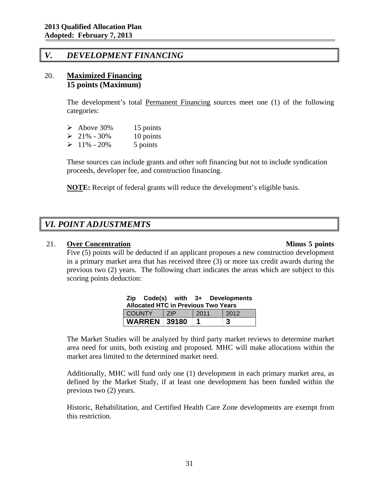# *V. DEVELOPMENT FINANCING*

## 20. **Maximized Financing 15 points (Maximum)**

The development's total Permanent Financing sources meet one (1) of the following categories:

| $\blacktriangleright$ Above 30% | 15 points |
|---------------------------------|-----------|
| $\geq 21\% - 30\%$              | 10 points |

 $\geq 11\% - 20\%$  5 points

These sources can include grants and other soft financing but not to include syndication proceeds, developer fee, and construction financing.

**NOTE:** Receipt of federal grants will reduce the development's eligible basis.

# *VI. POINT ADJUSTMEMTS*

#### 21. **Over Concentration Minus 5 points**

Five (5) points will be deducted if an applicant proposes a new construction development in a primary market area that has received three (3) or more tax credit awards during the previous two (2) years. The following chart indicates the areas which are subject to this scoring points deduction:

| Zip Code(s) with 3+ Developments<br><b>Allocated HTC in Previous Two Years</b> |       |      |      |  |  |
|--------------------------------------------------------------------------------|-------|------|------|--|--|
| <b>COUNTY</b>                                                                  | l ZIP | 2011 | 2012 |  |  |
| <b>WARREN</b> 39180                                                            |       | 1    | 3    |  |  |

The Market Studies will be analyzed by third party market reviews to determine market area need for units, both existing and proposed. MHC will make allocations within the market area limited to the determined market need.

Additionally, MHC will fund only one (1) development in each primary market area, as defined by the Market Study, if at least one development has been funded within the previous two (2) years.

Historic, Rehabilitation, and Certified Health Care Zone developments are exempt from this restriction.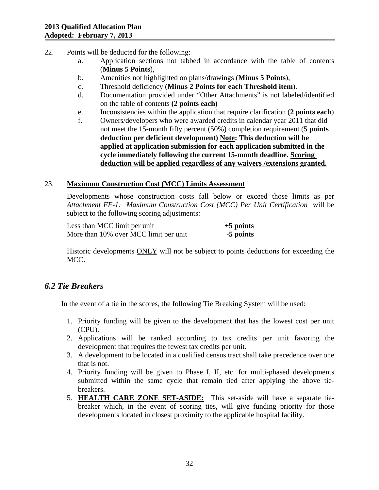- 22.Points will be deducted for the following:
	- a. Application sections not tabbed in accordance with the table of contents (**Minus 5 Points**),
	- b. Amenities not highlighted on plans/drawings (**Minus 5 Points**),
	- c. Threshold deficiency (**Minus 2 Points for each Threshold item**).
	- d. Documentation provided under "Other Attachments" is not labeled/identified on the table of contents **(2 points each)**
	- e. Inconsistencies within the application that require clarification (**2 points each**)
	- f. Owners/developers who were awarded credits in calendar year 2011 that did not meet the 15-month fifty percent (50%) completion requirement (**5 points deduction per deficient development) Note: This deduction will be applied at application submission for each application submitted in the cycle immediately following the current 15-month deadline. Scoring deduction will be applied regardless of any waivers /extensions granted.**

## 23. **Maximum Construction Cost (MCC) Limits Assessment**

Developments whose construction costs fall below or exceed those limits as per *Attachment FF-1: Maximum Construction Cost (MCC) Per Unit Certification* will be subject to the following scoring adjustments:

| Less than MCC limit per unit          | $+5$ points |
|---------------------------------------|-------------|
| More than 10% over MCC limit per unit | -5 points   |

Historic developments ONLY will not be subject to points deductions for exceeding the MCC.

# *6.2 Tie Breakers*

In the event of a tie in the scores, the following Tie Breaking System will be used:

- 1. Priority funding will be given to the development that has the lowest cost per unit (CPU).
- 2. Applications will be ranked according to tax credits per unit favoring the development that requires the fewest tax credits per unit.
- 3. A development to be located in a qualified census tract shall take precedence over one that is not.
- 4. Priority funding will be given to Phase I, II, etc. for multi-phased developments submitted within the same cycle that remain tied after applying the above tiebreakers.
- 5. **HEALTH CARE ZONE SET-ASIDE:** This set-aside will have a separate tiebreaker which, in the event of scoring ties, will give funding priority for those developments located in closest proximity to the applicable hospital facility.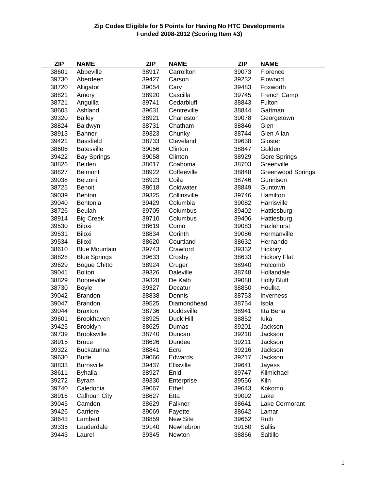#### **Zip Codes Eligible for 5 Points for Having No HTC Developments Funded 2008-2012 (Scoring Item #3)**

| <b>ZIP</b> | <b>NAME</b>          | <b>ZIP</b> | <b>NAME</b>  | <b>ZIP</b> | <b>NAME</b>              |
|------------|----------------------|------------|--------------|------------|--------------------------|
| 38601      | Abbeville            | 38917      | Carrollton   | 39073      | Florence                 |
| 39730      | Aberdeen             | 39427      | Carson       | 39232      | Flowood                  |
| 38720      | Alligator            | 39054      | Cary         | 39483      | Foxworth                 |
| 38821      | Amory                | 38920      | Cascilla     | 39745      | French Camp              |
| 38721      | Anguilla             | 39741      | Cedarbluff   | 38843      | Fulton                   |
| 38603      | Ashland              | 39631      | Centreville  | 38844      | Gattman                  |
| 39320      | <b>Bailey</b>        | 38921      | Charleston   | 39078      | Georgetown               |
| 38824      | Baldwyn              | 38731      | Chatham      | 38846      | Glen                     |
| 38913      | <b>Banner</b>        | 39323      | Chunky       | 38744      | Glen Allan               |
| 39421      | <b>Bassfield</b>     | 38733      | Cleveland    | 39638      | Gloster                  |
| 38606      | <b>Batesville</b>    | 39056      | Clinton      | 38847      | Golden                   |
| 39422      | <b>Bay Springs</b>   | 39058      | Clinton      | 38929      | Gore Springs             |
| 38826      | Belden               | 38617      | Coahoma      | 38703      | Greenville               |
| 38827      | <b>Belmont</b>       | 38922      | Coffeeville  | 38848      | <b>Greenwood Springs</b> |
| 39038      | Belzoni              | 38923      | Coila        | 38746      | Gunnison                 |
| 38725      | <b>Benoit</b>        | 38618      | Coldwater    | 38849      | Guntown                  |
| 39039      | Benton               | 39325      | Collinsville | 39746      | Hamilton                 |
| 39040      | Bentonia             | 39429      | Columbia     | 39082      | Harrisville              |
| 38726      | <b>Beulah</b>        | 39705      | Columbus     | 39402      | Hattiesburg              |
| 38914      | <b>Big Creek</b>     | 39710      | Columbus     | 39406      | Hattiesburg              |
| 39530      | <b>Biloxi</b>        | 38619      | Como         | 39083      | <b>Hazlehurst</b>        |
| 39531      | <b>Biloxi</b>        | 38834      | Corinth      | 39086      | Hermanville              |
| 39534      | <b>Biloxi</b>        | 38620      | Courtland    | 38632      | Hernando                 |
| 38610      | <b>Blue Mountain</b> | 39743      | Crawford     | 39332      | Hickory                  |
| 38828      | <b>Blue Springs</b>  | 39633      | Crosby       | 38633      | <b>Hickory Flat</b>      |
| 39629      | <b>Bogue Chitto</b>  | 38924      | Cruger       | 38940      | Holcomb                  |
| 39041      | <b>Bolton</b>        | 39326      | Daleville    | 38748      | Hollandale               |
| 38829      | <b>Booneville</b>    | 39328      | De Kalb      | 39088      | <b>Holly Bluff</b>       |
| 38730      | <b>Boyle</b>         | 39327      | Decatur      | 38850      | Houlka                   |
| 39042      | <b>Brandon</b>       | 38838      | Dennis       | 38753      | Inverness                |
| 39047      | <b>Brandon</b>       | 39525      | Diamondhead  | 38754      | Isola                    |
| 39044      | <b>Braxton</b>       | 38736      | Doddsville   | 38941      | Itta Bena                |
| 39601      | Brookhaven           | 38925      | Duck Hill    | 38852      | luka                     |
| 39425      | Brooklyn             | 38625      | Dumas        | 39201      | Jackson                  |
| 39739      | <b>Brooksville</b>   | 38740      | Duncan       | 39210      | Jackson                  |
| 38915      | <b>Bruce</b>         | 38626      | Dundee       | 39211      | Jackson                  |
| 39322      | Buckatunna           | 38841      | Ecru         | 39216      | Jackson                  |
| 39630      | <b>Bude</b>          | 39066      | Edwards      | 39217      | Jackson                  |
| 38833      | <b>Burnsville</b>    | 39437      | Ellisville   | 39641      | Jayess                   |
| 38611      | <b>Byhalia</b>       | 38927      | Enid         | 39747      | Kilmichael               |
| 39272      | <b>Byram</b>         | 39330      | Enterprise   | 39556      | Kiln                     |
| 39740      | Caledonia            | 39067      | Ethel        | 39643      | Kokomo                   |
| 38916      | Calhoun City         | 38627      | Etta         | 39092      | Lake                     |
| 39045      | Camden               | 38629      | Falkner      | 38641      | Lake Cormorant           |
| 39426      | Carriere             | 39069      | Fayette      | 38642      | Lamar                    |
| 38643      | Lambert              | 38859      | New Site     | 39662      | Ruth                     |
| 39335      | Lauderdale           | 39140      | Newhebron    | 39160      | <b>Sallis</b>            |
| 39443      | Laurel               | 39345      | Newton       | 38866      | Saltillo                 |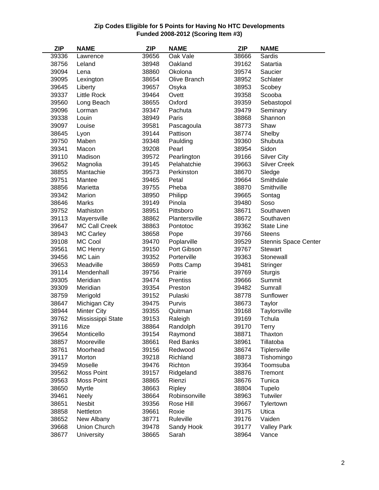#### **Zip Codes Eligible for 5 Points for Having No HTC Developments Funded 2008-2012 (Scoring Item #3)**

| <b>ZIP</b> | <b>NAME</b>          | <b>ZIP</b> | <b>NAME</b>      | <b>ZIP</b> | <b>NAME</b>                 |
|------------|----------------------|------------|------------------|------------|-----------------------------|
| 39336      | Lawrence             | 39656      | Oak Vale         | 38666      | Sardis                      |
| 38756      | Leland               | 38948      | Oakland          | 39162      | Satartia                    |
| 39094      | Lena                 | 38860      | Okolona          | 39574      | Saucier                     |
| 39095      | Lexington            | 38654      | Olive Branch     | 38952      | Schlater                    |
| 39645      | Liberty              | 39657      | Osyka            | 38953      | Scobey                      |
| 39337      | <b>Little Rock</b>   | 39464      | Ovett            | 39358      | Scooba                      |
| 39560      | Long Beach           | 38655      | Oxford           | 39359      | Sebastopol                  |
| 39096      | Lorman               | 39347      | Pachuta          | 39479      | Seminary                    |
| 39338      | Louin                | 38949      | Paris            | 38868      | Shannon                     |
| 39097      | Louise               | 39581      | Pascagoula       | 38773      | Shaw                        |
| 38645      | Lyon                 | 39144      | Pattison         | 38774      | Shelby                      |
| 39750      | Maben                | 39348      | Paulding         | 39360      | Shubuta                     |
| 39341      | Macon                | 39208      | Pearl            | 38954      | Sidon                       |
| 39110      | Madison              | 39572      | Pearlington      | 39166      | <b>Silver City</b>          |
| 39652      | Magnolia             | 39145      | Pelahatchie      | 39663      | <b>Silver Creek</b>         |
| 38855      | Mantachie            | 39573      | Perkinston       | 38670      | Sledge                      |
| 39751      | Mantee               | 39465      | Petal            | 39664      | Smithdale                   |
| 38856      | Marietta             | 39755      | Pheba            | 38870      | Smithville                  |
| 39342      | Marion               | 38950      | Philipp          | 39665      | Sontag                      |
| 38646      | Marks                | 39149      | Pinola           | 39480      | Soso                        |
| 39752      | Mathiston            | 38951      | Pittsboro        | 38671      | Southaven                   |
| 39113      | Mayersville          | 38862      | Plantersville    | 38672      | Southaven                   |
| 39647      | <b>MC Call Creek</b> | 38863      | Pontotoc         | 39362      | <b>State Line</b>           |
| 38943      | <b>MC Carley</b>     | 38658      | Pope             | 39766      | <b>Steens</b>               |
| 39108      | <b>MC Cool</b>       | 39470      | Poplarville      | 39529      | <b>Stennis Space Center</b> |
| 39561      | MC Henry             | 39150      | Port Gibson      | 39767      | <b>Stewart</b>              |
| 39456      | MC Lain              | 39352      | Porterville      | 39363      | Stonewall                   |
| 39653      | Meadville            | 38659      | Potts Camp       | 39481      | Stringer                    |
| 39114      | Mendenhall           | 39756      | Prairie          | 39769      | <b>Sturgis</b>              |
| 39305      | Meridian             | 39474      | <b>Prentiss</b>  | 39666      | Summit                      |
| 39309      | Meridian             | 39354      | Preston          | 39482      | Sumrall                     |
| 38759      | Merigold             | 39152      | Pulaski          | 38778      | Sunflower                   |
| 38647      | Michigan City        | 39475      | Purvis           | 38673      | Taylor                      |
| 38944      | <b>Minter City</b>   | 39355      | Quitman          | 39168      | Taylorsville                |
| 39762      | Mississippi State    | 39153      | Raleigh          | 39169      | Tchula                      |
| 39116      | Mize                 | 38864      | Randolph         | 39170      | <b>Terry</b>                |
| 39654      | Monticello           | 39154      | Raymond          | 38871      | Thaxton                     |
| 38857      | Mooreville           | 38661      | <b>Red Banks</b> | 38961      | Tillatoba                   |
| 38761      | Moorhead             | 39156      | Redwood          | 38674      | Tiplersville                |
| 39117      | Morton               | 39218      | Richland         | 38873      | Tishomingo                  |
| 39459      | Moselle              | 39476      | Richton          | 39364      | Toomsuba                    |
| 39562      | Moss Point           | 39157      | Ridgeland        | 38876      | Tremont                     |
| 39563      | Moss Point           | 38865      | Rienzi           | 38676      | Tunica                      |
| 38650      | Myrtle               | 38663      | Ripley           | 38804      | Tupelo                      |
| 39461      | <b>Neely</b>         | 38664      | Robinsonville    | 38963      | <b>Tutwiler</b>             |
| 38651      | <b>Nesbit</b>        | 39356      | Rose Hill        | 39667      | Tylertown                   |
| 38858      | Nettleton            | 39661      | Roxie            | 39175      | Utica                       |
| 38652      | New Albany           | 38771      | Ruleville        | 39176      | Vaiden                      |
| 39668      | Union Church         | 39478      | Sandy Hook       | 39177      | <b>Valley Park</b>          |
| 38677      | University           | 38665      | Sarah            | 38964      | Vance                       |
|            |                      |            |                  |            |                             |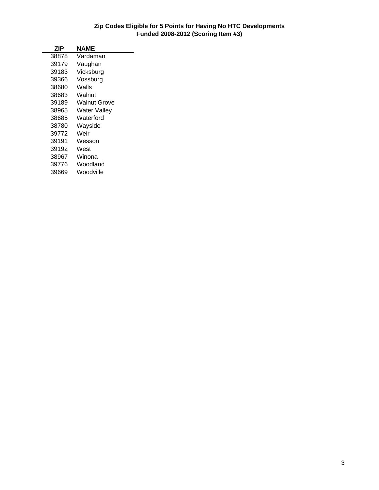#### **Zip Codes Eligible for 5 Points for Having No HTC Developments Funded 2008-2012 (Scoring Item #3)**

| ZIP   | NAME                |
|-------|---------------------|
| 38878 | Vardaman            |
| 39179 | Vaughan             |
| 39183 | Vicksburg           |
| 39366 | Vossburg            |
| 38680 | Walls               |
| 38683 | Walnut              |
| 39189 | Walnut Grove        |
| 38965 | <b>Water Valley</b> |
| 38685 | Waterford           |
| 38780 | Wayside             |
| 39772 | Weir                |
| 39191 | Wesson              |
| 39192 | West                |
| 38967 | Winona              |
| 39776 | Woodland            |
| 39669 | Woodville           |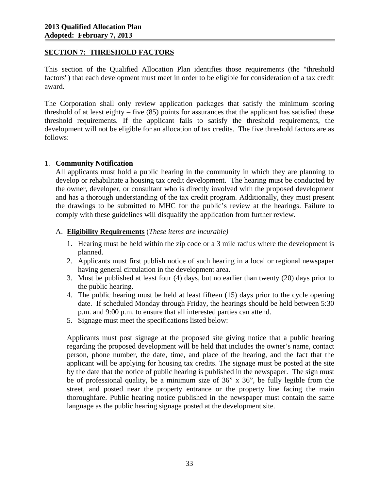## **SECTION 7: THRESHOLD FACTORS**

This section of the Qualified Allocation Plan identifies those requirements (the "threshold factors") that each development must meet in order to be eligible for consideration of a tax credit award.

The Corporation shall only review application packages that satisfy the minimum scoring threshold of at least eighty – five (85) points for assurances that the applicant has satisfied these threshold requirements. If the applicant fails to satisfy the threshold requirements, the development will not be eligible for an allocation of tax credits. The five threshold factors are as follows:

## 1. **Community Notification**

All applicants must hold a public hearing in the community in which they are planning to develop or rehabilitate a housing tax credit development. The hearing must be conducted by the owner, developer, or consultant who is directly involved with the proposed development and has a thorough understanding of the tax credit program. Additionally, they must present the drawings to be submitted to MHC for the public's review at the hearings. Failure to comply with these guidelines will disqualify the application from further review.

## A. **Eligibility Requirements** (*These items are incurable)*

- 1. Hearing must be held within the zip code or a 3 mile radius where the development is planned.
- 2. Applicants must first publish notice of such hearing in a local or regional newspaper having general circulation in the development area.
- 3. Must be published at least four (4) days, but no earlier than twenty (20) days prior to the public hearing.
- 4. The public hearing must be held at least fifteen (15) days prior to the cycle opening date. If scheduled Monday through Friday, the hearings should be held between 5:30 p.m. and 9:00 p.m. to ensure that all interested parties can attend.
- 5. Signage must meet the specifications listed below:

Applicants must post signage at the proposed site giving notice that a public hearing regarding the proposed development will be held that includes the owner's name, contact person, phone number, the date, time, and place of the hearing, and the fact that the applicant will be applying for housing tax credits. The signage must be posted at the site by the date that the notice of public hearing is published in the newspaper. The sign must be of professional quality, be a minimum size of 36" x 36", be fully legible from the street, and posted near the property entrance or the property line facing the main thoroughfare. Public hearing notice published in the newspaper must contain the same language as the public hearing signage posted at the development site.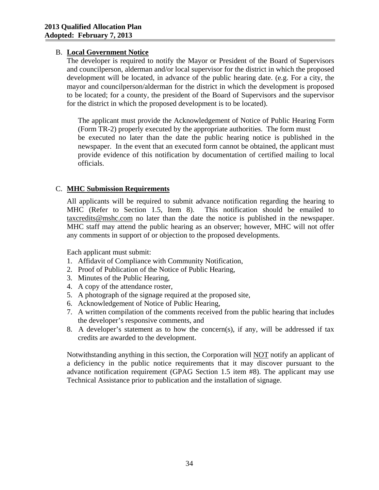## B. **Local Government Notice**

The developer is required to notify the Mayor or President of the Board of Supervisors and councilperson, alderman and/or local supervisor for the district in which the proposed development will be located, in advance of the public hearing date. (e.g. For a city, the mayor and councilperson/alderman for the district in which the development is proposed to be located; for a county, the president of the Board of Supervisors and the supervisor for the district in which the proposed development is to be located).

The applicant must provide the Acknowledgement of Notice of Public Hearing Form (Form TR-2) properly executed by the appropriate authorities. The form must be executed no later than the date the public hearing notice is published in the newspaper. In the event that an executed form cannot be obtained, the applicant must provide evidence of this notification by documentation of certified mailing to local officials.

## C. **MHC Submission Requirements**

All applicants will be required to submit advance notification regarding the hearing to MHC (Refer to Section 1.5, Item 8). This notification should be emailed to taxcredits@mshc.com no later than the date the notice is published in the newspaper. MHC staff may attend the public hearing as an observer; however, MHC will not offer any comments in support of or objection to the proposed developments.

Each applicant must submit:

- 1. Affidavit of Compliance with Community Notification,
- 2. Proof of Publication of the Notice of Public Hearing,
- 3. Minutes of the Public Hearing,
- 4. A copy of the attendance roster,
- 5. A photograph of the signage required at the proposed site,
- 6. Acknowledgement of Notice of Public Hearing,
- 7. A written compilation of the comments received from the public hearing that includes the developer's responsive comments, and
- 8. A developer's statement as to how the concern(s), if any, will be addressed if tax credits are awarded to the development.

Notwithstanding anything in this section, the Corporation will NOT notify an applicant of a deficiency in the public notice requirements that it may discover pursuant to the advance notification requirement (GPAG Section 1.5 item #8). The applicant may use Technical Assistance prior to publication and the installation of signage.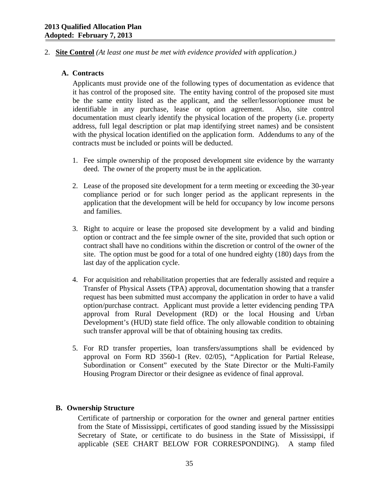2. **Site Control** *(At least one must be met with evidence provided with application.)*

#### **A. Contracts**

Applicants must provide one of the following types of documentation as evidence that it has control of the proposed site. The entity having control of the proposed site must be the same entity listed as the applicant, and the seller/lessor/optionee must be identifiable in any purchase, lease or option agreement. Also, site control documentation must clearly identify the physical location of the property (i.e. property address, full legal description or plat map identifying street names) and be consistent with the physical location identified on the application form. Addendums to any of the contracts must be included or points will be deducted.

- 1. Fee simple ownership of the proposed development site evidence by the warranty deed. The owner of the property must be in the application.
- 2. Lease of the proposed site development for a term meeting or exceeding the 30-year compliance period or for such longer period as the applicant represents in the application that the development will be held for occupancy by low income persons and families.
- 3. Right to acquire or lease the proposed site development by a valid and binding option or contract and the fee simple owner of the site, provided that such option or contract shall have no conditions within the discretion or control of the owner of the site. The option must be good for a total of one hundred eighty (180) days from the last day of the application cycle.
- 4. For acquisition and rehabilitation properties that are federally assisted and require a Transfer of Physical Assets (TPA) approval, documentation showing that a transfer request has been submitted must accompany the application in order to have a valid option/purchase contract. Applicant must provide a letter evidencing pending TPA approval from Rural Development (RD) or the local Housing and Urban Development's (HUD) state field office. The only allowable condition to obtaining such transfer approval will be that of obtaining housing tax credits.
- 5. For RD transfer properties, loan transfers/assumptions shall be evidenced by approval on Form RD 3560-1 (Rev. 02/05), "Application for Partial Release, Subordination or Consent" executed by the State Director or the Multi-Family Housing Program Director or their designee as evidence of final approval.

#### **B. Ownership Structure**

Certificate of partnership or corporation for the owner and general partner entities from the State of Mississippi, certificates of good standing issued by the Mississippi Secretary of State, or certificate to do business in the State of Mississippi, if applicable (SEE CHART BELOW FOR CORRESPONDING). A stamp filed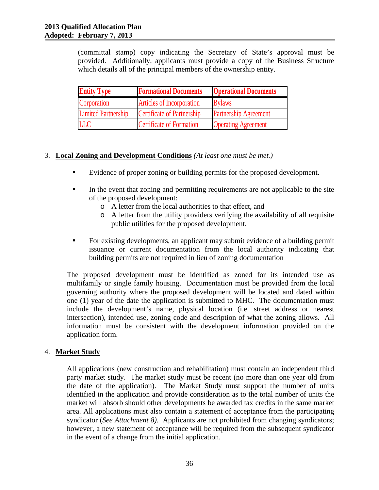(committal stamp) copy indicating the Secretary of State's approval must be provided. Additionally, applicants must provide a copy of the Business Structure which details all of the principal members of the ownership entity.

| <b>Entity Type</b>         | <b>Formational Documents</b>      | <b>Operational Documents</b> |
|----------------------------|-----------------------------------|------------------------------|
| Corporation                | <b>Articles of Incorporation</b>  | <b>Bylaws</b>                |
| <b>Limited Partnership</b> | <b>Certificate of Partnership</b> | <b>Partnership Agreement</b> |
| LLC                        | <b>Certificate of Formation</b>   | <b>Operating Agreement</b>   |

## 3. **Local Zoning and Development Conditions** *(At least one must be met.)*

- Evidence of proper zoning or building permits for the proposed development.
- In the event that zoning and permitting requirements are not applicable to the site of the proposed development:
	- o A letter from the local authorities to that effect, and
	- $\circ$  A letter from the utility providers verifying the availability of all requisite public utilities for the proposed development.
- For existing developments, an applicant may submit evidence of a building permit issuance or current documentation from the local authority indicating that building permits are not required in lieu of zoning documentation

The proposed development must be identified as zoned for its intended use as multifamily or single family housing. Documentation must be provided from the local governing authority where the proposed development will be located and dated within one (1) year of the date the application is submitted to MHC. The documentation must include the development's name, physical location (i.e. street address or nearest intersection), intended use, zoning code and description of what the zoning allows. All information must be consistent with the development information provided on the application form.

## 4. **Market Study**

All applications (new construction and rehabilitation) must contain an independent third party market study. The market study must be recent (no more than one year old from the date of the application). The Market Study must support the number of units identified in the application and provide consideration as to the total number of units the market will absorb should other developments be awarded tax credits in the same market area. All applications must also contain a statement of acceptance from the participating syndicator (*See Attachment 8*). Applicants are not prohibited from changing syndicators; however, a new statement of acceptance will be required from the subsequent syndicator in the event of a change from the initial application.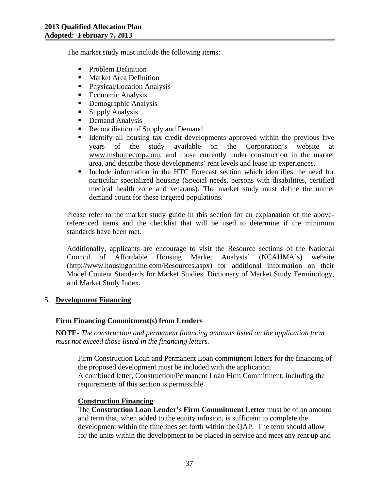The market study must include the following items:

- **Problem Definition**
- **Market Area Definition**
- Physical/Location Analysis
- Economic Analysis
- Demographic Analysis
- Supply Analysis
- Demand Analysis
- Reconciliation of Supply and Demand
- Identify all housing tax credit developments approved within the previous five years of the study available on the Corporation's website at www.mshomecorp.com, and those currently under construction in the market area, and describe those developments' rent levels and lease up experiences.
- Include information in the HTC Forecast section which identifies the need for particular specialized housing (Special needs, persons with disabilities, certified medical health zone and veterans). The market study must define the unmet demand count for these targeted populations.

Please refer to the market study guide in this section for an explanation of the abovereferenced items and the checklist that will be used to determine if the minimum standards have been met.

Additionally, applicants are encourage to visit the Resource sections of the National Council of Affordable Housing Market Analysts' (NCAHMA's) website (http://www.housingonline.com/Resources.aspx) for additional information on their Model Content Standards for Market Studies, Dictionary of Market Study Terminology, and Market Study Index.

## 5. **Development Financing**

#### **Firm Financing Commitment(s) from Lenders**

**NOTE***- The construction and permanent financing amounts listed on the application form must not exceed those listed in the financing letters.* 

Firm Construction Loan and Permanent Loan commitment letters for the financing of the proposed development must be included with the application. A combined letter, Construction/Permanent Loan Firm Commitment, including the requirements of this section is permissible.

#### **Construction Financing**

The **Construction Loan Lender's Firm Commitment Letter** must be of an amount and term that, when added to the equity infusion, is sufficient to complete the development within the timelines set forth within the QAP. The term should allow for the units within the development to be placed in service and meet any rent up and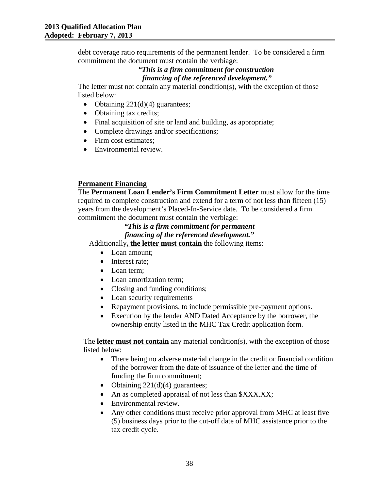debt coverage ratio requirements of the permanent lender. To be considered a firm commitment the document must contain the verbiage:

# *"This is a firm commitment for construction financing of the referenced development."*

The letter must not contain any material condition(s), with the exception of those listed below:

- Obtaining  $221(d)(4)$  guarantees;
- Obtaining tax credits;
- Final acquisition of site or land and building, as appropriate;
- Complete drawings and/or specifications;
- Firm cost estimates:
- Environmental review.

## **Permanent Financing**

The **Permanent Loan Lender's Firm Commitment Letter** must allow for the time required to complete construction and extend for a term of not less than fifteen (15) years from the development's Placed-In-Service date. To be considered a firm commitment the document must contain the verbiage:

## *"This is a firm commitment for permanent financing of the referenced development."*

Additionally**, the letter must contain** the following items:

- Loan amount:
- Interest rate;
- Loan term:
- Loan amortization term:
- Closing and funding conditions;
- Loan security requirements
- Repayment provisions, to include permissible pre-payment options.
- Execution by the lender AND Dated Acceptance by the borrower, the ownership entity listed in the MHC Tax Credit application form.

The **letter must not contain** any material condition(s), with the exception of those listed below:

- There being no adverse material change in the credit or financial condition of the borrower from the date of issuance of the letter and the time of funding the firm commitment;
- Obtaining  $221(d)(4)$  guarantees;
- An as completed appraisal of not less than \$XXX.XX;
- Environmental review.
- Any other conditions must receive prior approval from MHC at least five (5) business days prior to the cut-off date of MHC assistance prior to the tax credit cycle.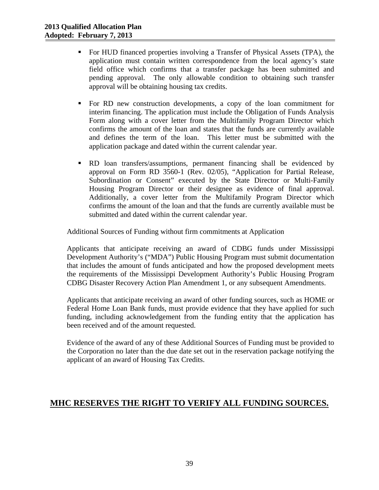- For HUD financed properties involving a Transfer of Physical Assets (TPA), the application must contain written correspondence from the local agency's state field office which confirms that a transfer package has been submitted and pending approval. The only allowable condition to obtaining such transfer approval will be obtaining housing tax credits.
- For RD new construction developments, a copy of the loan commitment for interim financing. The application must include the Obligation of Funds Analysis Form along with a cover letter from the Multifamily Program Director which confirms the amount of the loan and states that the funds are currently available and defines the term of the loan. This letter must be submitted with the application package and dated within the current calendar year.
- RD loan transfers/assumptions, permanent financing shall be evidenced by approval on Form RD 3560-1 (Rev. 02/05), "Application for Partial Release, Subordination or Consent" executed by the State Director or Multi-Family Housing Program Director or their designee as evidence of final approval. Additionally, a cover letter from the Multifamily Program Director which confirms the amount of the loan and that the funds are currently available must be submitted and dated within the current calendar year.

Additional Sources of Funding without firm commitments at Application

Applicants that anticipate receiving an award of CDBG funds under Mississippi Development Authority's ("MDA") Public Housing Program must submit documentation that includes the amount of funds anticipated and how the proposed development meets the requirements of the Mississippi Development Authority's Public Housing Program CDBG Disaster Recovery Action Plan Amendment 1, or any subsequent Amendments.

Applicants that anticipate receiving an award of other funding sources, such as HOME or Federal Home Loan Bank funds, must provide evidence that they have applied for such funding, including acknowledgement from the funding entity that the application has been received and of the amount requested.

Evidence of the award of any of these Additional Sources of Funding must be provided to the Corporation no later than the due date set out in the reservation package notifying the applicant of an award of Housing Tax Credits.

# **MHC RESERVES THE RIGHT TO VERIFY ALL FUNDING SOURCES.**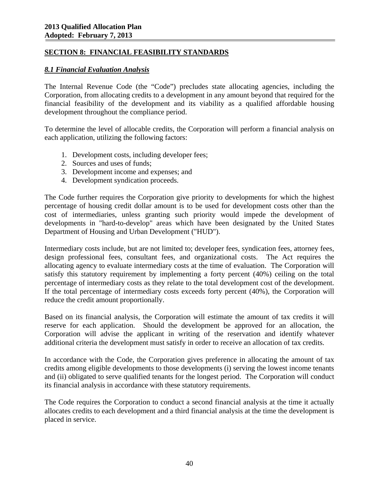## **SECTION 8: FINANCIAL FEASIBILITY STANDARDS**

## *8.1 Financial Evaluation Analysis*

The Internal Revenue Code (the "Code") precludes state allocating agencies, including the Corporation, from allocating credits to a development in any amount beyond that required for the financial feasibility of the development and its viability as a qualified affordable housing development throughout the compliance period.

To determine the level of allocable credits, the Corporation will perform a financial analysis on each application, utilizing the following factors:

- 1. Development costs, including developer fees;
- 2. Sources and uses of funds;
- 3. Development income and expenses; and
- 4. Development syndication proceeds.

The Code further requires the Corporation give priority to developments for which the highest percentage of housing credit dollar amount is to be used for development costs other than the cost of intermediaries, unless granting such priority would impede the development of developments in "hard-to-develop" areas which have been designated by the United States Department of Housing and Urban Development ("HUD").

Intermediary costs include, but are not limited to; developer fees, syndication fees, attorney fees, design professional fees, consultant fees, and organizational costs. The Act requires the allocating agency to evaluate intermediary costs at the time of evaluation. The Corporation will satisfy this statutory requirement by implementing a forty percent (40%) ceiling on the total percentage of intermediary costs as they relate to the total development cost of the development. If the total percentage of intermediary costs exceeds forty percent (40%), the Corporation will reduce the credit amount proportionally.

Based on its financial analysis, the Corporation will estimate the amount of tax credits it will reserve for each application. Should the development be approved for an allocation, the Corporation will advise the applicant in writing of the reservation and identify whatever additional criteria the development must satisfy in order to receive an allocation of tax credits.

In accordance with the Code, the Corporation gives preference in allocating the amount of tax credits among eligible developments to those developments (i) serving the lowest income tenants and (ii) obligated to serve qualified tenants for the longest period. The Corporation will conduct its financial analysis in accordance with these statutory requirements.

The Code requires the Corporation to conduct a second financial analysis at the time it actually allocates credits to each development and a third financial analysis at the time the development is placed in service.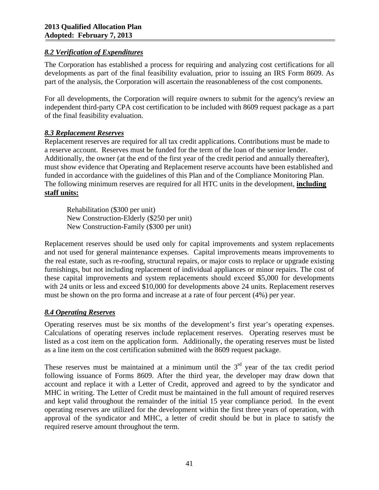## *8.2 Verification of Expenditures*

The Corporation has established a process for requiring and analyzing cost certifications for all developments as part of the final feasibility evaluation, prior to issuing an IRS Form 8609. As part of the analysis, the Corporation will ascertain the reasonableness of the cost components.

For all developments, the Corporation will require owners to submit for the agency's review an independent third-party CPA cost certification to be included with 8609 request package as a part of the final feasibility evaluation.

## *8.3 Replacement Reserves*

Replacement reserves are required for all tax credit applications. Contributions must be made to a reserve account. Reserves must be funded for the term of the loan of the senior lender. Additionally, the owner (at the end of the first year of the credit period and annually thereafter), must show evidence that Operating and Replacement reserve accounts have been established and funded in accordance with the guidelines of this Plan and of the Compliance Monitoring Plan. The following minimum reserves are required for all HTC units in the development, **including staff units:**

Rehabilitation (\$300 per unit) New Construction-Elderly (\$250 per unit) New Construction-Family (\$300 per unit)

Replacement reserves should be used only for capital improvements and system replacements and not used for general maintenance expenses. Capital improvements means improvements to the real estate, such as re-roofing, structural repairs, or major costs to replace or upgrade existing furnishings, but not including replacement of individual appliances or minor repairs. The cost of these capital improvements and system replacements should exceed \$5,000 for developments with 24 units or less and exceed \$10,000 for developments above 24 units. Replacement reserves must be shown on the pro forma and increase at a rate of four percent (4%) per year.

## *8.4 Operating Reserves*

Operating reserves must be six months of the development's first year's operating expenses. Calculations of operating reserves include replacement reserves. Operating reserves must be listed as a cost item on the application form. Additionally, the operating reserves must be listed as a line item on the cost certification submitted with the 8609 request package.

These reserves must be maintained at a minimum until the  $3<sup>rd</sup>$  year of the tax credit period following issuance of Forms 8609. After the third year, the developer may draw down that account and replace it with a Letter of Credit, approved and agreed to by the syndicator and MHC in writing. The Letter of Credit must be maintained in the full amount of required reserves and kept valid throughout the remainder of the initial 15 year compliance period. In the event operating reserves are utilized for the development within the first three years of operation, with approval of the syndicator and MHC, a letter of credit should be but in place to satisfy the required reserve amount throughout the term.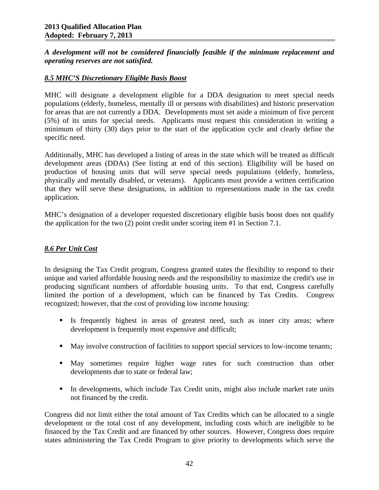*A development will not be considered financially feasible if the minimum replacement and operating reserves are not satisfied.* 

## *8.5 MHC'S Discretionary Eligible Basis Boost*

MHC will designate a development eligible for a DDA designation to meet special needs populations (elderly, homeless, mentally ill or persons with disabilities) and historic preservation for areas that are not currently a DDA. Developments must set aside a minimum of five percent (5%) of its units for special needs. Applicants must request this consideration in writing a minimum of thirty (30) days prior to the start of the application cycle and clearly define the specific need.

Additionally, MHC has developed a listing of areas in the state which will be treated as difficult development areas (DDAs) (See listing at end of this section). Eligibility will be based on production of housing units that will serve special needs populations (elderly, homeless, physically and mentally disabled, or veterans). Applicants must provide a written certification that they will serve these designations, in addition to representations made in the tax credit application.

MHC's designation of a developer requested discretionary eligible basis boost does not qualify the application for the two (2) point credit under scoring item #1 in Section 7.1.

## *8.6 Per Unit Cost*

In designing the Tax Credit program, Congress granted states the flexibility to respond to their unique and varied affordable housing needs and the responsibility to maximize the credit's use in producing significant numbers of affordable housing units. To that end, Congress carefully limited the portion of a development, which can be financed by Tax Credits. Congress recognized; however, that the cost of providing low income housing:

- Is frequently highest in areas of greatest need, such as inner city areas; where development is frequently most expensive and difficult;
- May involve construction of facilities to support special services to low-income tenants;
- May sometimes require higher wage rates for such construction than other developments due to state or federal law;
- In developments, which include Tax Credit units, might also include market rate units not financed by the credit.

Congress did not limit either the total amount of Tax Credits which can be allocated to a single development or the total cost of any development, including costs which are ineligible to be financed by the Tax Credit and are financed by other sources. However, Congress does require states administering the Tax Credit Program to give priority to developments which serve the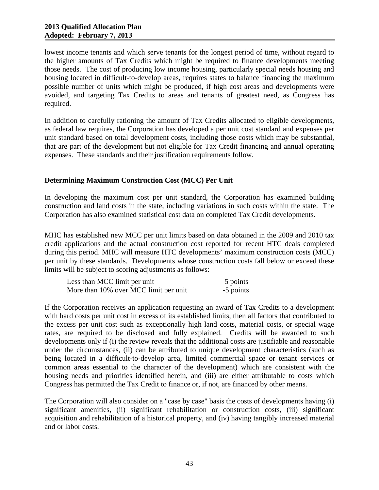lowest income tenants and which serve tenants for the longest period of time, without regard to the higher amounts of Tax Credits which might be required to finance developments meeting those needs. The cost of producing low income housing, particularly special needs housing and housing located in difficult-to-develop areas, requires states to balance financing the maximum possible number of units which might be produced, if high cost areas and developments were avoided, and targeting Tax Credits to areas and tenants of greatest need, as Congress has required.

In addition to carefully rationing the amount of Tax Credits allocated to eligible developments, as federal law requires, the Corporation has developed a per unit cost standard and expenses per unit standard based on total development costs, including those costs which may be substantial, that are part of the development but not eligible for Tax Credit financing and annual operating expenses. These standards and their justification requirements follow.

## **Determining Maximum Construction Cost (MCC) Per Unit**

In developing the maximum cost per unit standard, the Corporation has examined building construction and land costs in the state, including variations in such costs within the state. The Corporation has also examined statistical cost data on completed Tax Credit developments.

MHC has established new MCC per unit limits based on data obtained in the 2009 and 2010 tax credit applications and the actual construction cost reported for recent HTC deals completed during this period. MHC will measure HTC developments' maximum construction costs (MCC) per unit by these standards. Developments whose construction costs fall below or exceed these limits will be subject to scoring adjustments as follows:

| Less than MCC limit per unit          | 5 points  |
|---------------------------------------|-----------|
| More than 10% over MCC limit per unit | -5 points |

If the Corporation receives an application requesting an award of Tax Credits to a development with hard costs per unit cost in excess of its established limits, then all factors that contributed to the excess per unit cost such as exceptionally high land costs, material costs, or special wage rates, are required to be disclosed and fully explained. Credits will be awarded to such developments only if (i) the review reveals that the additional costs are justifiable and reasonable under the circumstances, (ii) can be attributed to unique development characteristics (such as being located in a difficult-to-develop area, limited commercial space or tenant services or common areas essential to the character of the development) which are consistent with the housing needs and priorities identified herein, and (iii) are either attributable to costs which Congress has permitted the Tax Credit to finance or, if not, are financed by other means.

The Corporation will also consider on a "case by case" basis the costs of developments having (i) significant amenities, (ii) significant rehabilitation or construction costs, (iii) significant acquisition and rehabilitation of a historical property, and (iv) having tangibly increased material and or labor costs.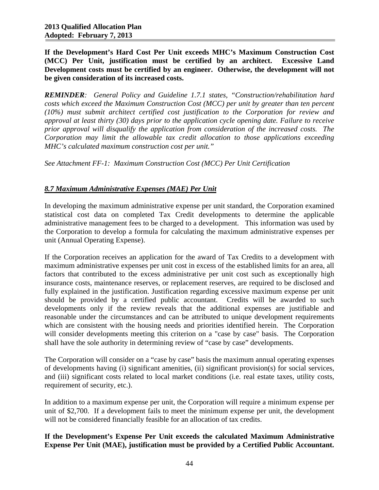**If the Development's Hard Cost Per Unit exceeds MHC's Maximum Construction Cost (MCC) Per Unit, justification must be certified by an architect. Excessive Land Development costs must be certified by an engineer. Otherwise, the development will not be given consideration of its increased costs.** 

*REMINDER: General Policy and Guideline 1.7.1 states, "Construction/rehabilitation hard costs which exceed the Maximum Construction Cost (MCC) per unit by greater than ten percent (10%) must submit architect certified cost justification to the Corporation for review and approval at least thirty (30) days prior to the application cycle opening date. Failure to receive prior approval will disqualify the application from consideration of the increased costs. The Corporation may limit the allowable tax credit allocation to those applications exceeding MHC's calculated maximum construction cost per unit."* 

*See Attachment FF-1: Maximum Construction Cost (MCC) Per Unit Certification* 

## *8.7 Maximum Administrative Expenses (MAE) Per Unit*

In developing the maximum administrative expense per unit standard, the Corporation examined statistical cost data on completed Tax Credit developments to determine the applicable administrative management fees to be charged to a development. This information was used by the Corporation to develop a formula for calculating the maximum administrative expenses per unit (Annual Operating Expense).

If the Corporation receives an application for the award of Tax Credits to a development with maximum administrative expenses per unit cost in excess of the established limits for an area, all factors that contributed to the excess administrative per unit cost such as exceptionally high insurance costs, maintenance reserves, or replacement reserves, are required to be disclosed and fully explained in the justification. Justification regarding excessive maximum expense per unit should be provided by a certified public accountant. Credits will be awarded to such developments only if the review reveals that the additional expenses are justifiable and reasonable under the circumstances and can be attributed to unique development requirements which are consistent with the housing needs and priorities identified herein. The Corporation will consider developments meeting this criterion on a "case by case" basis. The Corporation shall have the sole authority in determining review of "case by case" developments.

The Corporation will consider on a "case by case" basis the maximum annual operating expenses of developments having (i) significant amenities, (ii) significant provision(s) for social services, and (iii) significant costs related to local market conditions (i.e. real estate taxes, utility costs, requirement of security, etc.).

In addition to a maximum expense per unit, the Corporation will require a minimum expense per unit of \$2,700. If a development fails to meet the minimum expense per unit, the development will not be considered financially feasible for an allocation of tax credits.

## **If the Development's Expense Per Unit exceeds the calculated Maximum Administrative Expense Per Unit (MAE), justification must be provided by a Certified Public Accountant.**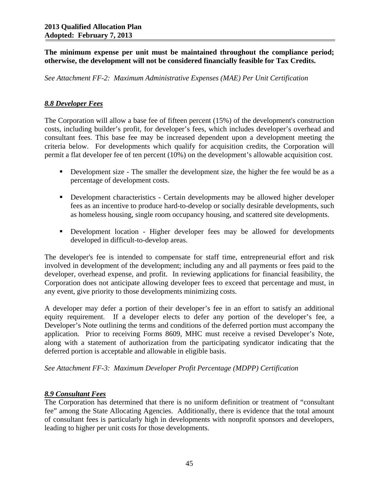## **The minimum expense per unit must be maintained throughout the compliance period; otherwise, the development will not be considered financially feasible for Tax Credits.**

*See Attachment FF-2: Maximum Administrative Expenses (MAE) Per Unit Certification* 

## *8.8 Developer Fees*

The Corporation will allow a base fee of fifteen percent (15%) of the development's construction costs, including builder's profit, for developer's fees, which includes developer's overhead and consultant fees. This base fee may be increased dependent upon a development meeting the criteria below. For developments which qualify for acquisition credits, the Corporation will permit a flat developer fee of ten percent (10%) on the development's allowable acquisition cost.

- Development size The smaller the development size, the higher the fee would be as a percentage of development costs.
- Development characteristics Certain developments may be allowed higher developer fees as an incentive to produce hard-to-develop or socially desirable developments, such as homeless housing, single room occupancy housing, and scattered site developments.
- Development location Higher developer fees may be allowed for developments developed in difficult-to-develop areas.

The developer's fee is intended to compensate for staff time, entrepreneurial effort and risk involved in development of the development; including any and all payments or fees paid to the developer, overhead expense, and profit. In reviewing applications for financial feasibility, the Corporation does not anticipate allowing developer fees to exceed that percentage and must, in any event, give priority to those developments minimizing costs.

A developer may defer a portion of their developer's fee in an effort to satisfy an additional equity requirement. If a developer elects to defer any portion of the developer's fee, a Developer's Note outlining the terms and conditions of the deferred portion must accompany the application. Prior to receiving Forms 8609, MHC must receive a revised Developer's Note, along with a statement of authorization from the participating syndicator indicating that the deferred portion is acceptable and allowable in eligible basis.

*See Attachment FF-3: Maximum Developer Profit Percentage (MDPP) Certification* 

#### *8.9 Consultant Fees*

The Corporation has determined that there is no uniform definition or treatment of "consultant fee" among the State Allocating Agencies. Additionally, there is evidence that the total amount of consultant fees is particularly high in developments with nonprofit sponsors and developers, leading to higher per unit costs for those developments.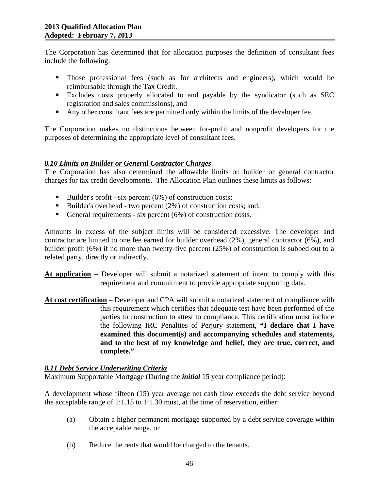The Corporation has determined that for allocation purposes the definition of consultant fees include the following:

- Those professional fees (such as for architects and engineers), which would be reimbursable through the Tax Credit.
- Excludes costs properly allocated to and payable by the syndicator (such as SEC registration and sales commissions), and
- Any other consultant fees-are permitted only within the limits of the developer fee.

The Corporation makes no distinctions between for-profit and nonprofit developers for the purposes of determining the appropriate level of consultant fees.

## *8.10 Limits on Builder or General Contractor Charges*

The Corporation has also determined the allowable limits on builder or general contractor charges for tax credit developments. The Allocation Plan outlines these limits as follows:

- Builder's profit six percent  $(6%)$  of construction costs;
- Euilder's overhead two percent  $(2%)$  of construction costs; and,
- General requirements six percent  $(6%)$  of construction costs.

Amounts in excess of the subject limits will be considered excessive. The developer and contractor are limited to one fee earned for builder overhead (2%), general contractor (6%), and builder profit (6%) if no more than twenty-five percent (25%) of construction is subbed out to a related party, directly or indirectly.

**At application** – Developer will submit a notarized statement of intent to comply with this requirement and commitment to provide appropriate supporting data.

**At cost certification** – Developer and CPA will submit a notarized statement of compliance with this requirement which certifies that adequate test have been performed of the parties to construction to attest to compliance. This certification must include the following IRC Penalties of Perjury statement, **"I declare that I have examined this document(s) and accompanying schedules and statements, and to the best of my knowledge and belief, they are true, correct, and complete."** 

#### *8.11 Debt Service Underwriting Criteria* Maximum Supportable Mortgage (During the *initial* 15 year compliance period):

A development whose fifteen (15) year average net cash flow exceeds the debt service beyond the acceptable range of 1:1.15 to 1:1.30 must, at the time of reservation, either:

- (a) Obtain a higher permanent mortgage supported by a debt service coverage within the acceptable range, or
- (b) Reduce the rents that would be charged to the tenants.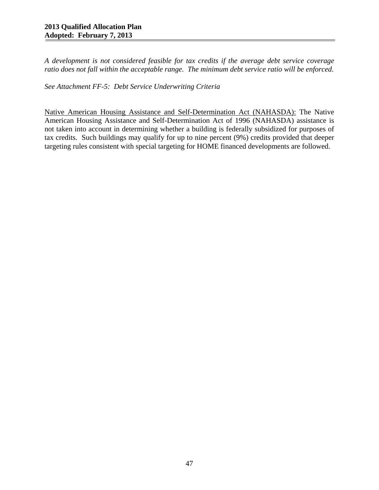*A development is not considered feasible for tax credits if the average debt service coverage ratio does not fall within the acceptable range. The minimum debt service ratio will be enforced*.

*See Attachment FF-5: Debt Service Underwriting Criteria* 

Native American Housing Assistance and Self-Determination Act (NAHASDA): The Native American Housing Assistance and Self-Determination Act of 1996 (NAHASDA) assistance is not taken into account in determining whether a building is federally subsidized for purposes of tax credits. Such buildings may qualify for up to nine percent (9%) credits provided that deeper targeting rules consistent with special targeting for HOME financed developments are followed.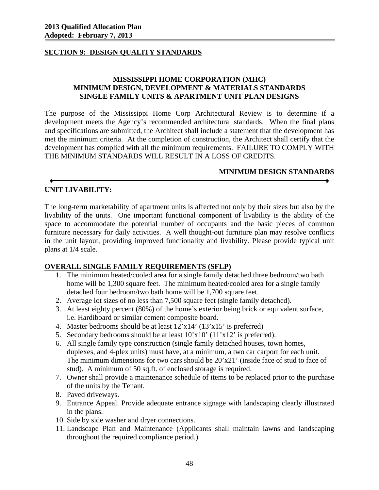## **SECTION 9: DESIGN QUALITY STANDARDS**

## **MISSISSIPPI HOME CORPORATION (MHC) MINIMUM DESIGN, DEVELOPMENT & MATERIALS STANDARDS SINGLE FAMILY UNITS & APARTMENT UNIT PLAN DESIGNS**

The purpose of the Mississippi Home Corp Architectural Review is to determine if a development meets the Agency's recommended architectural standards. When the final plans and specifications are submitted, the Architect shall include a statement that the development has met the minimum criteria. At the completion of construction, the Architect shall certify that the development has complied with all the minimum requirements. FAILURE TO COMPLY WITH THE MINIMUM STANDARDS WILL RESULT IN A LOSS OF CREDITS.

## **MINIMUM DESIGN STANDARDS**

## **UNIT LIVABILITY:**

The long-term marketability of apartment units is affected not only by their sizes but also by the livability of the units.One important functional component of livability is the ability of the space to accommodate the potential number of occupants and the basic pieces of common furniture necessary for daily activities. A well thought-out furniture plan may resolve conflicts in the unit layout, providing improved functionality and livability. Please provide typical unit plans at 1/4 scale.

#### **OVERALL SINGLE FAMILY REQUIREMENTS (SFLP)**

- 1. The minimum heated/cooled area for a single family detached three bedroom/two bath home will be 1,300 square feet. The minimum heated/cooled area for a single family detached four bedroom/two bath home will be 1,700 square feet.
- 2. Average lot sizes of no less than 7,500 square feet (single family detached).
- 3. At least eighty percent (80%) of the home's exterior being brick or equivalent surface, i.e. Hardiboard or similar cement composite board.
- 4. Master bedrooms should be at least  $12x14'$  ( $13x15'$  is preferred)
- 5. Secondary bedrooms should be at least  $10'x10'$  ( $11'x12'$  is preferred).
- 6. All single family type construction (single family detached houses, town homes, duplexes, and 4-plex units) must have, at a minimum, a two car carport for each unit. The minimum dimensions for two cars should be 20'x21' (inside face of stud to face of stud). A minimum of 50 sq.ft. of enclosed storage is required.
- 7. Owner shall provide a maintenance schedule of items to be replaced prior to the purchase of the units by the Tenant.
- 8. Paved driveways.
- 9. Entrance Appeal. Provide adequate entrance signage with landscaping clearly illustrated in the plans.
- 10. Side by side washer and dryer connections.
- 11. Landscape Plan and Maintenance (Applicants shall maintain lawns and landscaping throughout the required compliance period.)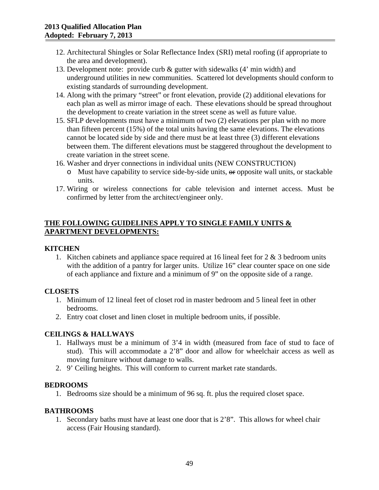- 12. Architectural Shingles or Solar Reflectance Index (SRI) metal roofing (if appropriate to the area and development).
- 13. Development note: provide curb & gutter with sidewalks (4' min width) and underground utilities in new communities. Scattered lot developments should conform to existing standards of surrounding development.
- 14. Along with the primary "street" or front elevation, provide (2) additional elevations for each plan as well as mirror image of each. These elevations should be spread throughout the development to create variation in the street scene as well as future value.
- 15. SFLP developments must have a minimum of two (2) elevations per plan with no more than fifteen percent (15%) of the total units having the same elevations. The elevations cannot be located side by side and there must be at least three (3) different elevations between them. The different elevations must be staggered throughout the development to create variation in the street scene.
- 16. Washer and dryer connections in individual units (NEW CONSTRUCTION)
	- o Must have capability to service side-by-side units, or opposite wall units, or stackable units.
- 17. Wiring or wireless connections for cable television and internet access. Must be confirmed by letter from the architect/engineer only.

## **THE FOLLOWING GUIDELINES APPLY TO SINGLE FAMILY UNITS & APARTMENT DEVELOPMENTS:**

## **KITCHEN**

1. Kitchen cabinets and appliance space required at 16 lineal feet for 2 & 3 bedroom units with the addition of a pantry for larger units. Utilize 16" clear counter space on one side of each appliance and fixture and a minimum of 9" on the opposite side of a range.

## **CLOSETS**

- 1. Minimum of 12 lineal feet of closet rod in master bedroom and 5 lineal feet in other bedrooms.
- 2. Entry coat closet and linen closet in multiple bedroom units, if possible.

## **CEILINGS & HALLWAYS**

- 1. Hallways must be a minimum of 3'4 in width (measured from face of stud to face of stud). This will accommodate a 2'8" door and allow for wheelchair access as well as moving furniture without damage to walls.
- 2. 9' Ceiling heights. This will conform to current market rate standards.

#### **BEDROOMS**

1. Bedrooms size should be a minimum of 96 sq. ft. plus the required closet space.

#### **BATHROOMS**

1. Secondary baths must have at least one door that is 2'8". This allows for wheel chair access (Fair Housing standard).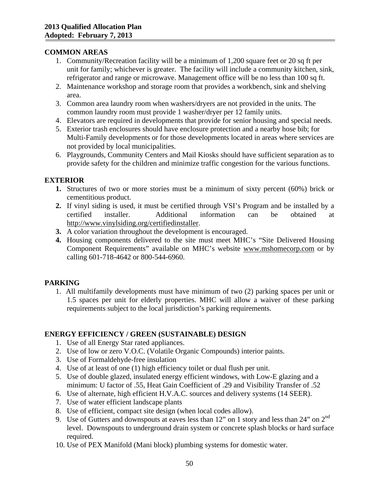## **COMMON AREAS**

- 1. Community/Recreation facility will be a minimum of 1,200 square feet or 20 sq ft per unit for family; whichever is greater. The facility will include a community kitchen, sink, refrigerator and range or microwave. Management office will be no less than 100 sq ft.
- 2. Maintenance workshop and storage room that provides a workbench, sink and shelving area.
- 3. Common area laundry room when washers/dryers are not provided in the units. The common laundry room must provide 1 washer/dryer per 12 family units.
- 4. Elevators are required in developments that provide for senior housing and special needs.
- 5. Exterior trash enclosures should have enclosure protection and a nearby hose bib; for Multi-Family developments or for those developments located in areas where services are not provided by local municipalities.
- 6. Playgrounds, Community Centers and Mail Kiosks should have sufficient separation as to provide safety for the children and minimize traffic congestion for the various functions.

## **EXTERIOR**

- **1.** Structures of two or more stories must be a minimum of sixty percent (60%) brick or cementitious product.
- **2.** If vinyl siding is used, it must be certified through VSI's Program and be installed by a certified installer. Additional information can be obtained at http://www.vinylsiding.org/certifiedinstaller.
- **3.** A color variation throughout the development is encouraged.
- **4.** Housing components delivered to the site must meet MHC's "Site Delivered Housing Component Requirements" available on MHC's website www.mshomecorp.com or by calling 601-718-4642 or 800-544-6960.

## **PARKING**

1. All multifamily developments must have minimum of two (2) parking spaces per unit or 1.5 spaces per unit for elderly properties. MHC will allow a waiver of these parking requirements subject to the local jurisdiction's parking requirements.

## **ENERGY EFFICIENCY / GREEN (SUSTAINABLE) DESIGN**

- 1. Use of all Energy Star rated appliances.
- 2. Use of low or zero V.O.C. (Volatile Organic Compounds) interior paints.
- 3. Use of Formaldehyde-free insulation
- 4. Use of at least of one (1) high efficiency toilet or dual flush per unit.
- 5. Use of double glazed, insulated energy efficient windows, with Low-E glazing and a minimum: U factor of .55, Heat Gain Coefficient of .29 and Visibility Transfer of .52
- 6. Use of alternate, high efficient H.V.A.C. sources and delivery systems (14 SEER).
- 7. Use of water efficient landscape plants
- 8. Use of efficient, compact site design (when local codes allow).
- 9. Use of Gutters and downspouts at eaves less than  $12$ " on 1 story and less than  $24$ " on  $2<sup>nd</sup>$ level. Downspouts to underground drain system or concrete splash blocks or hard surface required.
- 10. Use of PEX Manifold (Mani block) plumbing systems for domestic water.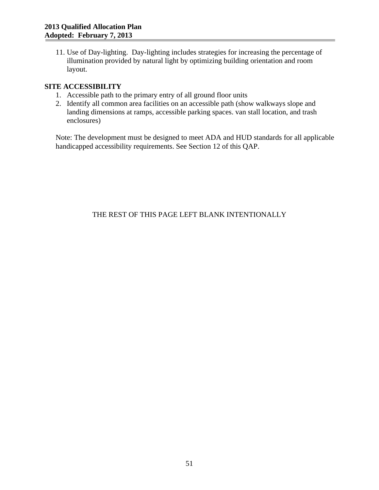11. Use of Day-lighting. Day-lighting includes strategies for increasing the percentage of illumination provided by natural light by optimizing building orientation and room layout.

# **SITE ACCESSIBILITY**

- 1. Accessible path to the primary entry of all ground floor units
- 2. Identify all common area facilities on an accessible path (show walkways slope and landing dimensions at ramps, accessible parking spaces. van stall location, and trash enclosures)

Note: The development must be designed to meet ADA and HUD standards for all applicable handicapped accessibility requirements. See Section 12 of this QAP.

# THE REST OF THIS PAGE LEFT BLANK INTENTIONALLY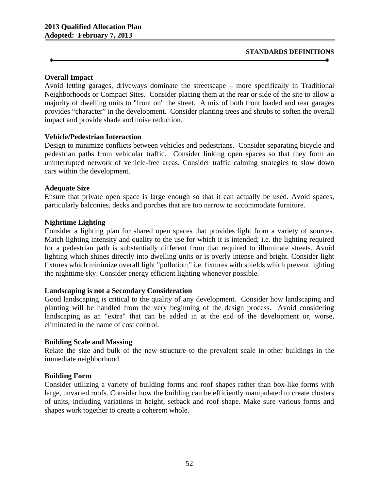#### **STANDARDS DEFINITIONS**

## **Overall Impact**

Avoid letting garages, driveways dominate the streetscape – more specifically in Traditional Neighborhoods or Compact Sites. Consider placing them at the rear or side of the site to allow a majority of dwelling units to "front on" the street. A mix of both front loaded and rear garages provides "character" in the development. Consider planting trees and shrubs to soften the overall impact and provide shade and noise reduction.

#### **Vehicle/Pedestrian Interaction**

Design to minimize conflicts between vehicles and pedestrians. Consider separating bicycle and pedestrian paths from vehicular traffic. Consider linking open spaces so that they form an uninterrupted network of vehicle-free areas. Consider traffic calming strategies to slow down cars within the development.

#### **Adequate Size**

Ensure that private open space is large enough so that it can actually be used. Avoid spaces, particularly balconies, decks and porches that are too narrow to accommodate furniture.

#### **Nighttime Lighting**

Consider a lighting plan for shared open spaces that provides light from a variety of sources. Match lighting intensity and quality to the use for which it is intended; i.e. the lighting required for a pedestrian path is substantially different from that required to illuminate streets. Avoid lighting which shines directly into dwelling units or is overly intense and bright. Consider light fixtures which minimize overall light "pollution;" i.e. fixtures with shields which prevent lighting the nighttime sky. Consider energy efficient lighting whenever possible.

#### **Landscaping is not a Secondary Consideration**

Good landscaping is critical to the quality of any development. Consider how landscaping and planting will be handled from the very beginning of the design process. Avoid considering landscaping as an "extra" that can be added in at the end of the development or, worse, eliminated in the name of cost control.

#### **Building Scale and Massing**

Relate the size and bulk of the new structure to the prevalent scale in other buildings in the immediate neighborhood.

#### **Building Form**

Consider utilizing a variety of building forms and roof shapes rather than box-like forms with large, unvaried roofs. Consider how the building can be efficiently manipulated to create clusters of units, including variations in height, setback and roof shape. Make sure various forms and shapes work together to create a coherent whole.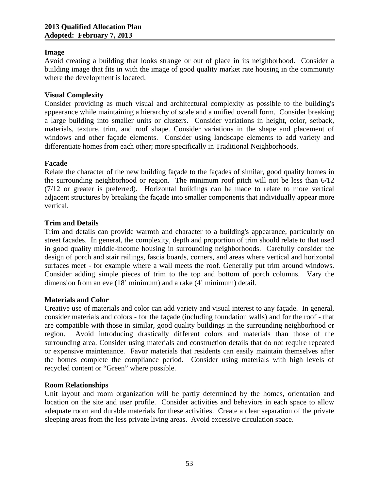#### **Image**

Avoid creating a building that looks strange or out of place in its neighborhood. Consider a building image that fits in with the image of good quality market rate housing in the community where the development is located.

#### **Visual Complexity**

Consider providing as much visual and architectural complexity as possible to the building's appearance while maintaining a hierarchy of scale and a unified overall form. Consider breaking a large building into smaller units or clusters. Consider variations in height, color, setback, materials, texture, trim, and roof shape. Consider variations in the shape and placement of windows and other façade elements. Consider using landscape elements to add variety and differentiate homes from each other; more specifically in Traditional Neighborhoods.

#### **Facade**

Relate the character of the new building façade to the façades of similar, good quality homes in the surrounding neighborhood or region. The minimum roof pitch will not be less than 6/12 (7/12 or greater is preferred). Horizontal buildings can be made to relate to more vertical adjacent structures by breaking the façade into smaller components that individually appear more vertical.

#### **Trim and Details**

Trim and details can provide warmth and character to a building's appearance, particularly on street facades. In general, the complexity, depth and proportion of trim should relate to that used in good quality middle-income housing in surrounding neighborhoods. Carefully consider the design of porch and stair railings, fascia boards, corners, and areas where vertical and horizontal surfaces meet - for example where a wall meets the roof. Generally put trim around windows. Consider adding simple pieces of trim to the top and bottom of porch columns. Vary the dimension from an eve (18' minimum) and a rake (4' minimum) detail.

#### **Materials and Color**

Creative use of materials and color can add variety and visual interest to any façade. In general, consider materials and colors - for the façade (including foundation walls) and for the roof - that are compatible with those in similar, good quality buildings in the surrounding neighborhood or region. Avoid introducing drastically different colors and materials than those of the surrounding area. Consider using materials and construction details that do not require repeated or expensive maintenance. Favor materials that residents can easily maintain themselves after the homes complete the compliance period. Consider using materials with high levels of recycled content or "Green" where possible.

#### **Room Relationships**

Unit layout and room organization will be partly determined by the homes, orientation and location on the site and user profile. Consider activities and behaviors in each space to allow adequate room and durable materials for these activities. Create a clear separation of the private sleeping areas from the less private living areas. Avoid excessive circulation space.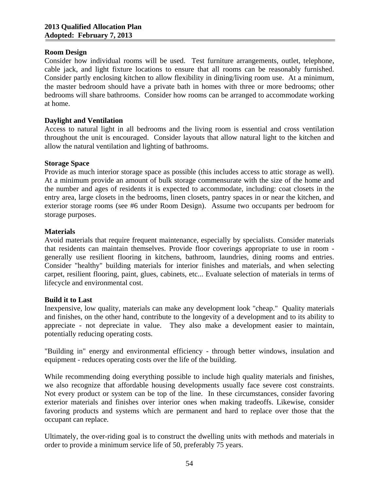#### **Room Design**

Consider how individual rooms will be used. Test furniture arrangements, outlet, telephone, cable jack, and light fixture locations to ensure that all rooms can be reasonably furnished. Consider partly enclosing kitchen to allow flexibility in dining/living room use. At a minimum, the master bedroom should have a private bath in homes with three or more bedrooms; other bedrooms will share bathrooms. Consider how rooms can be arranged to accommodate working at home.

## **Daylight and Ventilation**

Access to natural light in all bedrooms and the living room is essential and cross ventilation throughout the unit is encouraged. Consider layouts that allow natural light to the kitchen and allow the natural ventilation and lighting of bathrooms.

#### **Storage Space**

Provide as much interior storage space as possible (this includes access to attic storage as well). At a minimum provide an amount of bulk storage commensurate with the size of the home and the number and ages of residents it is expected to accommodate, including: coat closets in the entry area, large closets in the bedrooms, linen closets, pantry spaces in or near the kitchen, and exterior storage rooms (see #6 under Room Design). Assume two occupants per bedroom for storage purposes.

#### **Materials**

Avoid materials that require frequent maintenance, especially by specialists. Consider materials that residents can maintain themselves. Provide floor coverings appropriate to use in room generally use resilient flooring in kitchens, bathroom, laundries, dining rooms and entries. Consider "healthy" building materials for interior finishes and materials, and when selecting carpet, resilient flooring, paint, glues, cabinets, etc... Evaluate selection of materials in terms of lifecycle and environmental cost.

#### **Build it to Last**

Inexpensive, low quality, materials can make any development look "cheap." Quality materials and finishes, on the other hand, contribute to the longevity of a development and to its ability to appreciate - not depreciate in value. They also make a development easier to maintain, potentially reducing operating costs.

"Building in" energy and environmental efficiency - through better windows, insulation and equipment - reduces operating costs over the life of the building.

While recommending doing everything possible to include high quality materials and finishes, we also recognize that affordable housing developments usually face severe cost constraints. Not every product or system can be top of the line. In these circumstances, consider favoring exterior materials and finishes over interior ones when making tradeoffs. Likewise, consider favoring products and systems which are permanent and hard to replace over those that the occupant can replace.

Ultimately, the over-riding goal is to construct the dwelling units with methods and materials in order to provide a minimum service life of 50, preferably 75 years.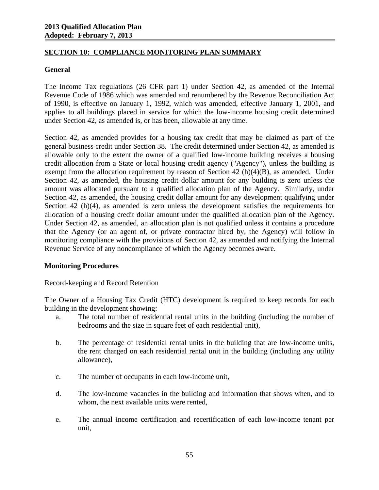## **SECTION 10: COMPLIANCE MONITORING PLAN SUMMARY**

#### **General**

The Income Tax regulations (26 CFR part 1) under Section 42, as amended of the Internal Revenue Code of 1986 which was amended and renumbered by the Revenue Reconciliation Act of 1990, is effective on January 1, 1992, which was amended, effective January 1, 2001, and applies to all buildings placed in service for which the low-income housing credit determined under Section 42, as amended is, or has been, allowable at any time.

Section 42, as amended provides for a housing tax credit that may be claimed as part of the general business credit under Section 38. The credit determined under Section 42, as amended is allowable only to the extent the owner of a qualified low-income building receives a housing credit allocation from a State or local housing credit agency ("Agency"), unless the building is exempt from the allocation requirement by reason of Section 42 (h)(4)(B), as amended. Under Section 42, as amended, the housing credit dollar amount for any building is zero unless the amount was allocated pursuant to a qualified allocation plan of the Agency. Similarly, under Section 42, as amended, the housing credit dollar amount for any development qualifying under Section 42 (h)(4), as amended is zero unless the development satisfies the requirements for allocation of a housing credit dollar amount under the qualified allocation plan of the Agency. Under Section 42, as amended, an allocation plan is not qualified unless it contains a procedure that the Agency (or an agent of, or private contractor hired by, the Agency) will follow in monitoring compliance with the provisions of Section 42, as amended and notifying the Internal Revenue Service of any noncompliance of which the Agency becomes aware.

#### **Monitoring Procedures**

#### Record-keeping and Record Retention

The Owner of a Housing Tax Credit (HTC) development is required to keep records for each building in the development showing:

- a. The total number of residential rental units in the building (including the number of bedrooms and the size in square feet of each residential unit),
- b. The percentage of residential rental units in the building that are low-income units, the rent charged on each residential rental unit in the building (including any utility allowance),
- c. The number of occupants in each low-income unit,
- d. The low-income vacancies in the building and information that shows when, and to whom, the next available units were rented,
- e. The annual income certification and recertification of each low-income tenant per unit,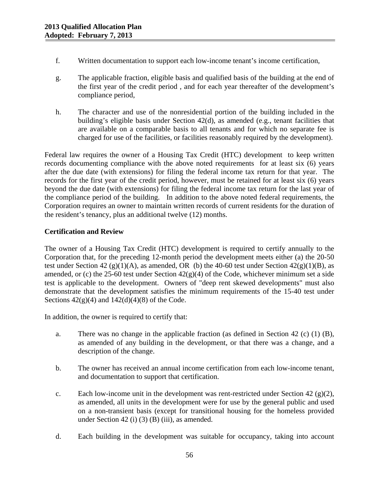- f. Written documentation to support each low-income tenant's income certification,
- g. The applicable fraction, eligible basis and qualified basis of the building at the end of the first year of the credit period , and for each year thereafter of the development's compliance period,
- h. The character and use of the nonresidential portion of the building included in the building's eligible basis under Section 42(d), as amended (e.g., tenant facilities that are available on a comparable basis to all tenants and for which no separate fee is charged for use of the facilities, or facilities reasonably required by the development).

Federal law requires the owner of a Housing Tax Credit (HTC) development to keep written records documenting compliance with the above noted requirements for at least six (6) years after the due date (with extensions) for filing the federal income tax return for that year. The records for the first year of the credit period, however, must be retained for at least six (6) years beyond the due date (with extensions) for filing the federal income tax return for the last year of the compliance period of the building. In addition to the above noted federal requirements, the Corporation requires an owner to maintain written records of current residents for the duration of the resident's tenancy, plus an additional twelve (12) months.

## **Certification and Review**

The owner of a Housing Tax Credit (HTC) development is required to certify annually to the Corporation that, for the preceding 12-month period the development meets either (a) the 20-50 test under Section 42 (g)(1)(A), as amended, OR (b) the 40-60 test under Section 42(g)(1)(B), as amended, or (c) the 25-60 test under Section  $42(g)(4)$  of the Code, whichever minimum set a side test is applicable to the development. Owners of "deep rent skewed developments" must also demonstrate that the development satisfies the minimum requirements of the 15-40 test under Sections  $42(g)(4)$  and  $142(d)(4)(8)$  of the Code.

In addition, the owner is required to certify that:

- a. There was no change in the applicable fraction (as defined in Section 42 (c) (1) (B), as amended of any building in the development, or that there was a change, and a description of the change.
- b. The owner has received an annual income certification from each low-income tenant, and documentation to support that certification.
- c. Each low-income unit in the development was rent-restricted under Section 42 (g)(2), as amended, all units in the development were for use by the general public and used on a non-transient basis (except for transitional housing for the homeless provided under Section 42 (i) (3) (B) (iii), as amended.
- d. Each building in the development was suitable for occupancy, taking into account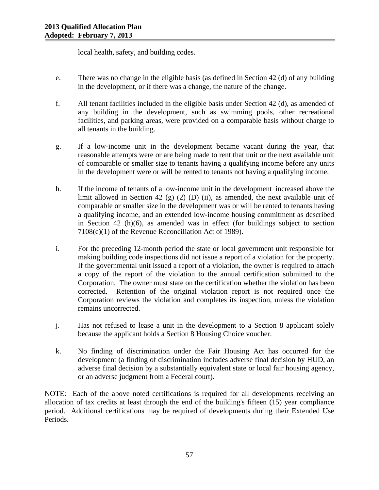local health, safety, and building codes.

- e. There was no change in the eligible basis (as defined in Section 42 (d) of any building in the development, or if there was a change, the nature of the change.
- f. All tenant facilities included in the eligible basis under Section 42 (d), as amended of any building in the development, such as swimming pools, other recreational facilities, and parking areas, were provided on a comparable basis without charge to all tenants in the building.
- g. If a low-income unit in the development became vacant during the year, that reasonable attempts were or are being made to rent that unit or the next available unit of comparable or smaller size to tenants having a qualifying income before any units in the development were or will be rented to tenants not having a qualifying income.
- h. If the income of tenants of a low-income unit in the development increased above the limit allowed in Section 42 (g) (2) (D) (ii), as amended, the next available unit of comparable or smaller size in the development was or will be rented to tenants having a qualifying income, and an extended low-income housing commitment as described in Section 42 (h)(6), as amended was in effect (for buildings subject to section 7108(c)(1) of the Revenue Reconciliation Act of 1989).
- i. For the preceding 12-month period the state or local government unit responsible for making building code inspections did not issue a report of a violation for the property. If the governmental unit issued a report of a violation, the owner is required to attach a copy of the report of the violation to the annual certification submitted to the Corporation. The owner must state on the certification whether the violation has been corrected. Retention of the original violation report is not required once the Corporation reviews the violation and completes its inspection, unless the violation remains uncorrected.
- j. Has not refused to lease a unit in the development to a Section 8 applicant solely because the applicant holds a Section 8 Housing Choice voucher.
- k. No finding of discrimination under the Fair Housing Act has occurred for the development (a finding of discrimination includes adverse final decision by HUD, an adverse final decision by a substantially equivalent state or local fair housing agency, or an adverse judgment from a Federal court).

NOTE: Each of the above noted certifications is required for all developments receiving an allocation of tax credits at least through the end of the building's fifteen (15) year compliance period. Additional certifications may be required of developments during their Extended Use Periods.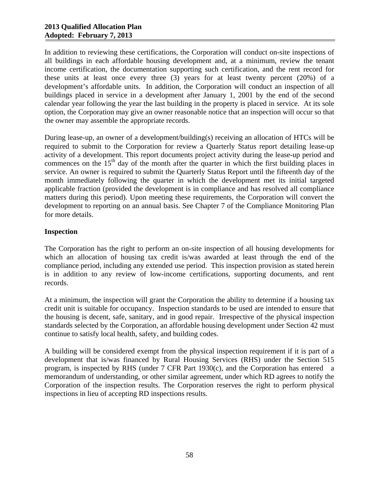In addition to reviewing these certifications, the Corporation will conduct on-site inspections of all buildings in each affordable housing development and, at a minimum, review the tenant income certification, the documentation supporting such certification, and the rent record for these units at least once every three (3) years for at least twenty percent (20%) of a development's affordable units. In addition, the Corporation will conduct an inspection of all buildings placed in service in a development after January 1, 2001 by the end of the second calendar year following the year the last building in the property is placed in service. At its sole option, the Corporation may give an owner reasonable notice that an inspection will occur so that the owner may assemble the appropriate records.

During lease-up, an owner of a development/building(s) receiving an allocation of HTCs will be required to submit to the Corporation for review a Quarterly Status report detailing lease-up activity of a development. This report documents project activity during the lease-up period and commences on the  $15<sup>th</sup>$  day of the month after the quarter in which the first building places in service. An owner is required to submit the Quarterly Status Report until the fifteenth day of the month immediately following the quarter in which the development met its initial targeted applicable fraction (provided the development is in compliance and has resolved all compliance matters during this period). Upon meeting these requirements, the Corporation will convert the development to reporting on an annual basis. See Chapter 7 of the Compliance Monitoring Plan for more details.

# **Inspection**

The Corporation has the right to perform an on-site inspection of all housing developments for which an allocation of housing tax credit is/was awarded at least through the end of the compliance period, including any extended use period. This inspection provision as stated herein is in addition to any review of low-income certifications, supporting documents, and rent records.

At a minimum, the inspection will grant the Corporation the ability to determine if a housing tax credit unit is suitable for occupancy. Inspection standards to be used are intended to ensure that the housing is decent, safe, sanitary, and in good repair. Irrespective of the physical inspection standards selected by the Corporation, an affordable housing development under Section 42 must continue to satisfy local health, safety, and building codes.

A building will be considered exempt from the physical inspection requirement if it is part of a development that is/was financed by Rural Housing Services (RHS) under the Section 515 program, is inspected by RHS (under 7 CFR Part 1930(c), and the Corporation has entered a memorandum of understanding, or other similar agreement, under which RD agrees to notify the Corporation of the inspection results. The Corporation reserves the right to perform physical inspections in lieu of accepting RD inspections results.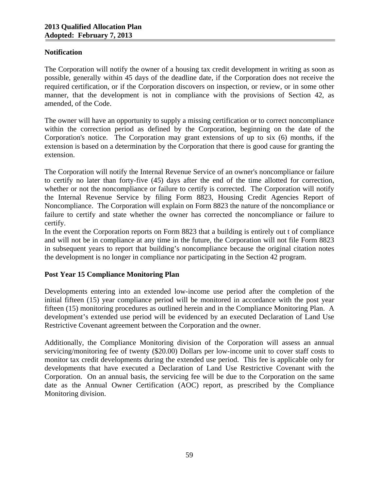## **Notification**

The Corporation will notify the owner of a housing tax credit development in writing as soon as possible, generally within 45 days of the deadline date, if the Corporation does not receive the required certification, or if the Corporation discovers on inspection, or review, or in some other manner, that the development is not in compliance with the provisions of Section 42, as amended, of the Code.

The owner will have an opportunity to supply a missing certification or to correct noncompliance within the correction period as defined by the Corporation, beginning on the date of the Corporation's notice. The Corporation may grant extensions of up to six (6) months, if the extension is based on a determination by the Corporation that there is good cause for granting the extension.

The Corporation will notify the Internal Revenue Service of an owner's noncompliance or failure to certify no later than forty-five (45) days after the end of the time allotted for correction, whether or not the noncompliance or failure to certify is corrected. The Corporation will notify the Internal Revenue Service by filing Form 8823, Housing Credit Agencies Report of Noncompliance. The Corporation will explain on Form 8823 the nature of the noncompliance or failure to certify and state whether the owner has corrected the noncompliance or failure to certify.

In the event the Corporation reports on Form 8823 that a building is entirely out t of compliance and will not be in compliance at any time in the future, the Corporation will not file Form 8823 in subsequent years to report that building's noncompliance because the original citation notes the development is no longer in compliance nor participating in the Section 42 program.

## **Post Year 15 Compliance Monitoring Plan**

Developments entering into an extended low-income use period after the completion of the initial fifteen (15) year compliance period will be monitored in accordance with the post year fifteen (15) monitoring procedures as outlined herein and in the Compliance Monitoring Plan. A development's extended use period will be evidenced by an executed Declaration of Land Use Restrictive Covenant agreement between the Corporation and the owner.

Additionally, the Compliance Monitoring division of the Corporation will assess an annual servicing/monitoring fee of twenty (\$20.00) Dollars per low-income unit to cover staff costs to monitor tax credit developments during the extended use period. This fee is applicable only for developments that have executed a Declaration of Land Use Restrictive Covenant with the Corporation. On an annual basis, the servicing fee will be due to the Corporation on the same date as the Annual Owner Certification (AOC) report, as prescribed by the Compliance Monitoring division.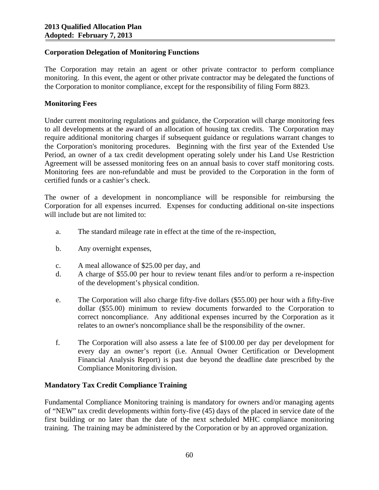## **Corporation Delegation of Monitoring Functions**

The Corporation may retain an agent or other private contractor to perform compliance monitoring. In this event, the agent or other private contractor may be delegated the functions of the Corporation to monitor compliance, except for the responsibility of filing Form 8823.

## **Monitoring Fees**

Under current monitoring regulations and guidance, the Corporation will charge monitoring fees to all developments at the award of an allocation of housing tax credits. The Corporation may require additional monitoring charges if subsequent guidance or regulations warrant changes to the Corporation's monitoring procedures. Beginning with the first year of the Extended Use Period, an owner of a tax credit development operating solely under his Land Use Restriction Agreement will be assessed monitoring fees on an annual basis to cover staff monitoring costs. Monitoring fees are non-refundable and must be provided to the Corporation in the form of certified funds or a cashier's check.

The owner of a development in noncompliance will be responsible for reimbursing the Corporation for all expenses incurred. Expenses for conducting additional on-site inspections will include but are not limited to:

- a. The standard mileage rate in effect at the time of the re-inspection,
- b. Any overnight expenses,
- c. A meal allowance of \$25.00 per day, and
- d. A charge of \$55.00 per hour to review tenant files and/or to perform a re-inspection of the development's physical condition.
- e. The Corporation will also charge fifty-five dollars (\$55.00) per hour with a fifty-five dollar (\$55.00) minimum to review documents forwarded to the Corporation to correct noncompliance. Any additional expenses incurred by the Corporation as it relates to an owner's noncompliance shall be the responsibility of the owner.
- f. The Corporation will also assess a late fee of \$100.00 per day per development for every day an owner's report (i.e. Annual Owner Certification or Development Financial Analysis Report) is past due beyond the deadline date prescribed by the Compliance Monitoring division.

#### **Mandatory Tax Credit Compliance Training**

Fundamental Compliance Monitoring training is mandatory for owners and/or managing agents of "NEW" tax credit developments within forty-five (45) days of the placed in service date of the first building or no later than the date of the next scheduled MHC compliance monitoring training. The training may be administered by the Corporation or by an approved organization.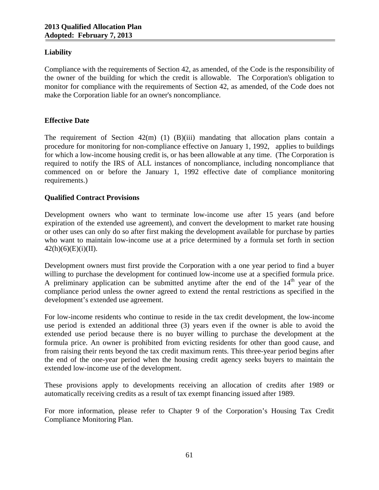## **Liability**

Compliance with the requirements of Section 42, as amended, of the Code is the responsibility of the owner of the building for which the credit is allowable. The Corporation's obligation to monitor for compliance with the requirements of Section 42, as amended, of the Code does not make the Corporation liable for an owner's noncompliance.

## **Effective Date**

The requirement of Section  $42(m)$  (1) (B)(iii) mandating that allocation plans contain a procedure for monitoring for non-compliance effective on January 1, 1992, applies to buildings for which a low-income housing credit is, or has been allowable at any time. (The Corporation is required to notify the IRS of ALL instances of noncompliance, including noncompliance that commenced on or before the January 1, 1992 effective date of compliance monitoring requirements.)

## **Qualified Contract Provisions**

Development owners who want to terminate low-income use after 15 years (and before expiration of the extended use agreement), and convert the development to market rate housing or other uses can only do so after first making the development available for purchase by parties who want to maintain low-income use at a price determined by a formula set forth in section  $42(h)(6)(E)(i)(II).$ 

Development owners must first provide the Corporation with a one year period to find a buyer willing to purchase the development for continued low-income use at a specified formula price. A preliminary application can be submitted anytime after the end of the  $14<sup>th</sup>$  year of the compliance period unless the owner agreed to extend the rental restrictions as specified in the development's extended use agreement.

For low-income residents who continue to reside in the tax credit development, the low-income use period is extended an additional three (3) years even if the owner is able to avoid the extended use period because there is no buyer willing to purchase the development at the formula price. An owner is prohibited from evicting residents for other than good cause, and from raising their rents beyond the tax credit maximum rents. This three-year period begins after the end of the one-year period when the housing credit agency seeks buyers to maintain the extended low-income use of the development.

These provisions apply to developments receiving an allocation of credits after 1989 or automatically receiving credits as a result of tax exempt financing issued after 1989.

For more information, please refer to Chapter 9 of the Corporation's Housing Tax Credit Compliance Monitoring Plan.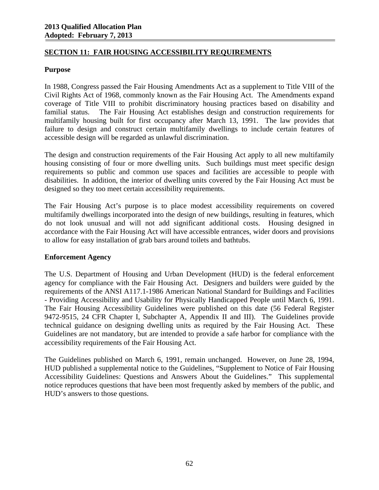## **SECTION 11: FAIR HOUSING ACCESSIBILITY REQUIREMENTS**

#### **Purpose**

In 1988, Congress passed the Fair Housing Amendments Act as a supplement to Title VIII of the Civil Rights Act of 1968, commonly known as the Fair Housing Act. The Amendments expand coverage of Title VIII to prohibit discriminatory housing practices based on disability and familial status. The Fair Housing Act establishes design and construction requirements for multifamily housing built for first occupancy after March 13, 1991. The law provides that failure to design and construct certain multifamily dwellings to include certain features of accessible design will be regarded as unlawful discrimination.

The design and construction requirements of the Fair Housing Act apply to all new multifamily housing consisting of four or more dwelling units. Such buildings must meet specific design requirements so public and common use spaces and facilities are accessible to people with disabilities. In addition, the interior of dwelling units covered by the Fair Housing Act must be designed so they too meet certain accessibility requirements.

The Fair Housing Act's purpose is to place modest accessibility requirements on covered multifamily dwellings incorporated into the design of new buildings, resulting in features, which do not look unusual and will not add significant additional costs. Housing designed in accordance with the Fair Housing Act will have accessible entrances, wider doors and provisions to allow for easy installation of grab bars around toilets and bathtubs.

#### **Enforcement Agency**

The U.S. Department of Housing and Urban Development (HUD) is the federal enforcement agency for compliance with the Fair Housing Act. Designers and builders were guided by the requirements of the ANSI A117.1-1986 American National Standard for Buildings and Facilities - Providing Accessibility and Usability for Physically Handicapped People until March 6, 1991. The Fair Housing Accessibility Guidelines were published on this date (56 Federal Register 9472-9515, 24 CFR Chapter I, Subchapter A, Appendix II and III). The Guidelines provide technical guidance on designing dwelling units as required by the Fair Housing Act. These Guidelines are not mandatory, but are intended to provide a safe harbor for compliance with the accessibility requirements of the Fair Housing Act.

The Guidelines published on March 6, 1991, remain unchanged. However, on June 28, 1994, HUD published a supplemental notice to the Guidelines, "Supplement to Notice of Fair Housing Accessibility Guidelines: Questions and Answers About the Guidelines." This supplemental notice reproduces questions that have been most frequently asked by members of the public, and HUD's answers to those questions.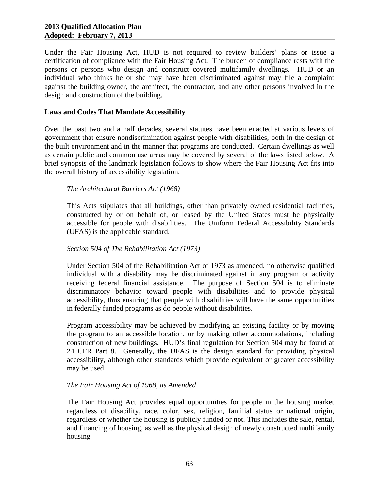Under the Fair Housing Act, HUD is not required to review builders' plans or issue a certification of compliance with the Fair Housing Act. The burden of compliance rests with the persons or persons who design and construct covered multifamily dwellings. HUD or an individual who thinks he or she may have been discriminated against may file a complaint against the building owner, the architect, the contractor, and any other persons involved in the design and construction of the building.

## **Laws and Codes That Mandate Accessibility**

Over the past two and a half decades, several statutes have been enacted at various levels of government that ensure nondiscrimination against people with disabilities, both in the design of the built environment and in the manner that programs are conducted. Certain dwellings as well as certain public and common use areas may be covered by several of the laws listed below. A brief synopsis of the landmark legislation follows to show where the Fair Housing Act fits into the overall history of accessibility legislation.

#### *The Architectural Barriers Act (1968)*

This Acts stipulates that all buildings, other than privately owned residential facilities, constructed by or on behalf of, or leased by the United States must be physically accessible for people with disabilities. The Uniform Federal Accessibility Standards (UFAS) is the applicable standard.

## *Section 504 of The Rehabilitation Act (1973)*

Under Section 504 of the Rehabilitation Act of 1973 as amended, no otherwise qualified individual with a disability may be discriminated against in any program or activity receiving federal financial assistance. The purpose of Section 504 is to eliminate discriminatory behavior toward people with disabilities and to provide physical accessibility, thus ensuring that people with disabilities will have the same opportunities in federally funded programs as do people without disabilities.

Program accessibility may be achieved by modifying an existing facility or by moving the program to an accessible location, or by making other accommodations, including construction of new buildings. HUD's final regulation for Section 504 may be found at 24 CFR Part 8. Generally, the UFAS is the design standard for providing physical accessibility, although other standards which provide equivalent or greater accessibility may be used.

#### *The Fair Housing Act of 1968, as Amended*

The Fair Housing Act provides equal opportunities for people in the housing market regardless of disability, race, color, sex, religion, familial status or national origin, regardless or whether the housing is publicly funded or not. This includes the sale, rental, and financing of housing, as well as the physical design of newly constructed multifamily housing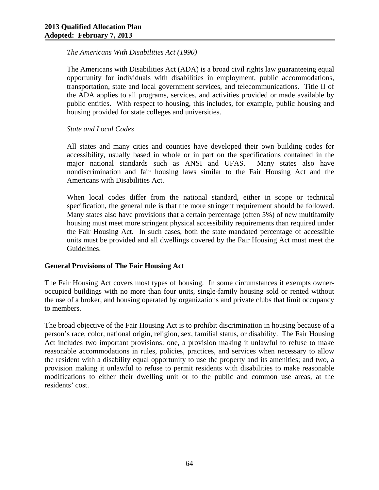# *The Americans With Disabilities Act (1990)*

The Americans with Disabilities Act (ADA) is a broad civil rights law guaranteeing equal opportunity for individuals with disabilities in employment, public accommodations, transportation, state and local government services, and telecommunications. Title II of the ADA applies to all programs, services, and activities provided or made available by public entities. With respect to housing, this includes, for example, public housing and housing provided for state colleges and universities.

# *State and Local Codes*

All states and many cities and counties have developed their own building codes for accessibility, usually based in whole or in part on the specifications contained in the major national standards such as ANSI and UFAS. Many states also have nondiscrimination and fair housing laws similar to the Fair Housing Act and the Americans with Disabilities Act.

When local codes differ from the national standard, either in scope or technical specification, the general rule is that the more stringent requirement should be followed. Many states also have provisions that a certain percentage (often 5%) of new multifamily housing must meet more stringent physical accessibility requirements than required under the Fair Housing Act. In such cases, both the state mandated percentage of accessible units must be provided and all dwellings covered by the Fair Housing Act must meet the Guidelines.

# **General Provisions of The Fair Housing Act**

The Fair Housing Act covers most types of housing. In some circumstances it exempts owneroccupied buildings with no more than four units, single-family housing sold or rented without the use of a broker, and housing operated by organizations and private clubs that limit occupancy to members.

The broad objective of the Fair Housing Act is to prohibit discrimination in housing because of a person's race, color, national origin, religion, sex, familial status, or disability. The Fair Housing Act includes two important provisions: one, a provision making it unlawful to refuse to make reasonable accommodations in rules, policies, practices, and services when necessary to allow the resident with a disability equal opportunity to use the property and its amenities; and two, a provision making it unlawful to refuse to permit residents with disabilities to make reasonable modifications to either their dwelling unit or to the public and common use areas, at the residents' cost.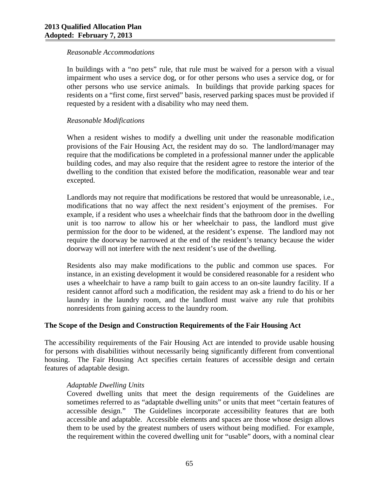### *Reasonable Accommodations*

In buildings with a "no pets" rule, that rule must be waived for a person with a visual impairment who uses a service dog, or for other persons who uses a service dog, or for other persons who use service animals. In buildings that provide parking spaces for residents on a "first come, first served" basis, reserved parking spaces must be provided if requested by a resident with a disability who may need them.

# *Reasonable Modifications*

When a resident wishes to modify a dwelling unit under the reasonable modification provisions of the Fair Housing Act, the resident may do so. The landlord/manager may require that the modifications be completed in a professional manner under the applicable building codes, and may also require that the resident agree to restore the interior of the dwelling to the condition that existed before the modification, reasonable wear and tear excepted.

Landlords may not require that modifications be restored that would be unreasonable, i.e., modifications that no way affect the next resident's enjoyment of the premises. For example, if a resident who uses a wheelchair finds that the bathroom door in the dwelling unit is too narrow to allow his or her wheelchair to pass, the landlord must give permission for the door to be widened, at the resident's expense. The landlord may not require the doorway be narrowed at the end of the resident's tenancy because the wider doorway will not interfere with the next resident's use of the dwelling.

Residents also may make modifications to the public and common use spaces. For instance, in an existing development it would be considered reasonable for a resident who uses a wheelchair to have a ramp built to gain access to an on-site laundry facility. If a resident cannot afford such a modification, the resident may ask a friend to do his or her laundry in the laundry room, and the landlord must waive any rule that prohibits nonresidents from gaining access to the laundry room.

# **The Scope of the Design and Construction Requirements of the Fair Housing Act**

The accessibility requirements of the Fair Housing Act are intended to provide usable housing for persons with disabilities without necessarily being significantly different from conventional housing. The Fair Housing Act specifies certain features of accessible design and certain features of adaptable design.

# *Adaptable Dwelling Units*

Covered dwelling units that meet the design requirements of the Guidelines are sometimes referred to as "adaptable dwelling units" or units that meet "certain features of accessible design." The Guidelines incorporate accessibility features that are both accessible and adaptable. Accessible elements and spaces are those whose design allows them to be used by the greatest numbers of users without being modified. For example, the requirement within the covered dwelling unit for "usable" doors, with a nominal clear